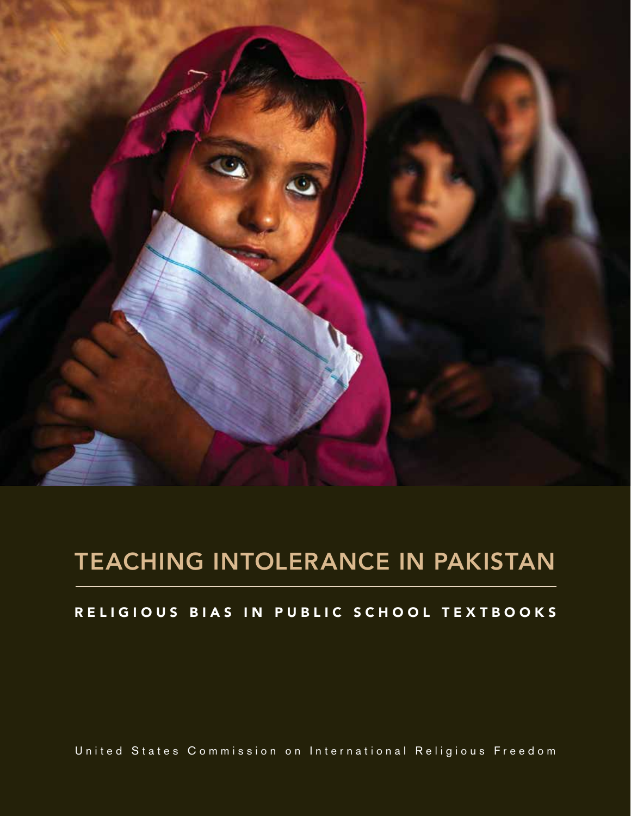

# TEACHING INTOLERANCE IN PAKISTAN

## RELIGIOUS BIAS IN PUBLIC SCHOOL TEXTBOOKS

United States Commission on International Religious Freedom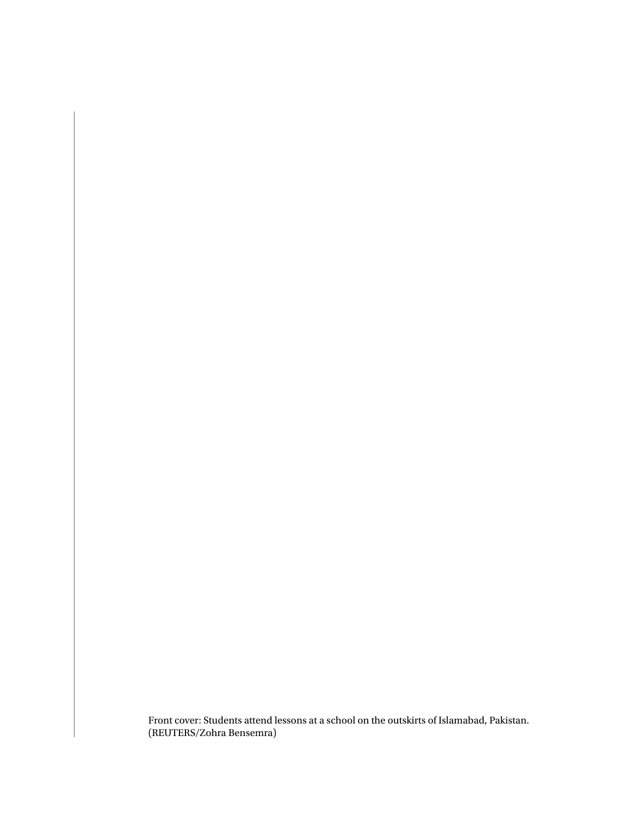Front cover: Students attend lessons at a school on the outskirts of Islamabad, Pakistan. (REUTERS/Zohra Bensemra)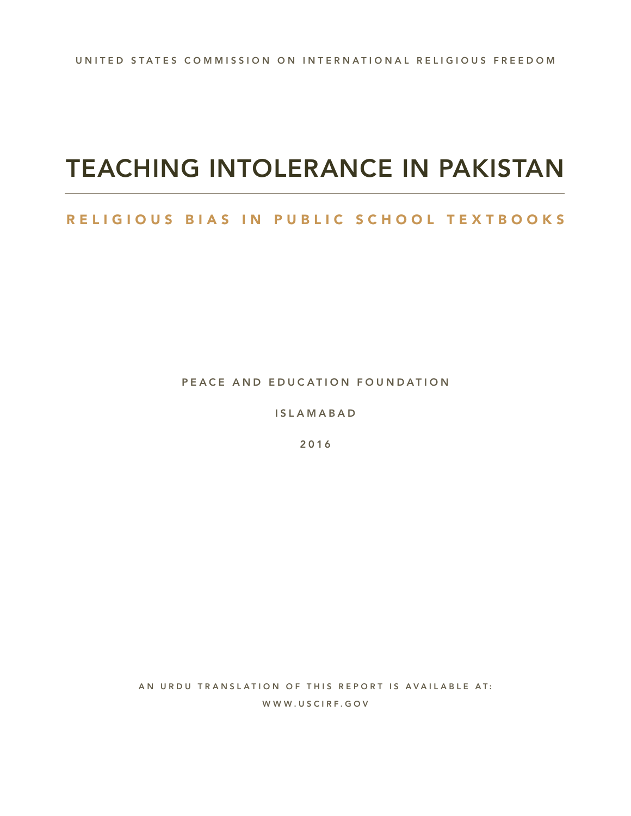# TEACHING INTOLERANCE IN PAKISTAN

## RELIGIOUS BIAS IN PUBLIC SCHOOL TEXTBOOKS

PEACE AND EDUCATION FOUNDATION

**ISLAMABAD** 

2016

AN URDU TRANSLATION OF THIS REPORT IS AVAILABLE AT: WWW.USCIRF.GOV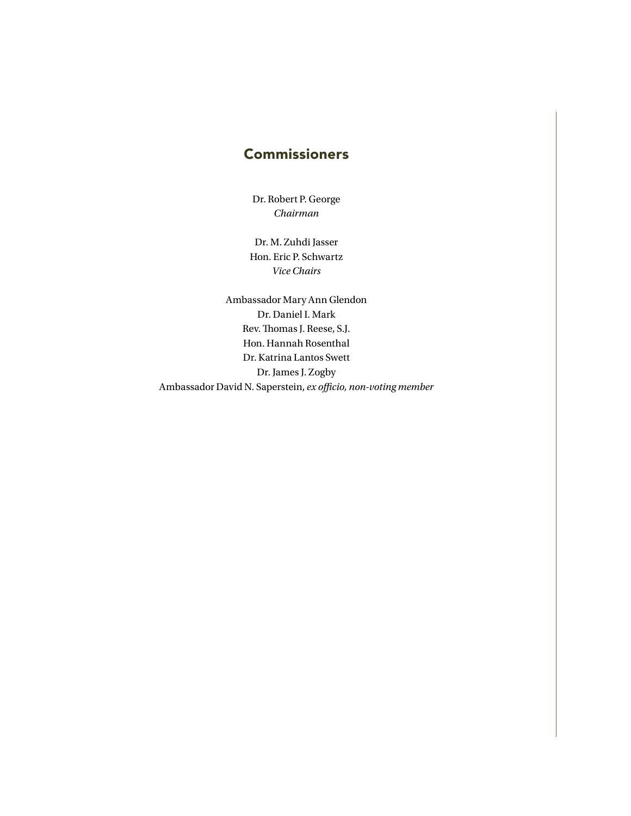## Commissioners

Dr. Robert P. George *Chairman*

Dr. M. Zuhdi Jasser Hon. Eric P. Schwartz *Vice Chairs*

Ambassador Mary Ann Glendon Dr. Daniel I. Mark Rev. Thomas J. Reese, S.J. Hon. Hannah Rosenthal Dr. Katrina Lantos Swett Dr. James J. Zogby Ambassador David N. Saperstein, *ex officio, non-voting member*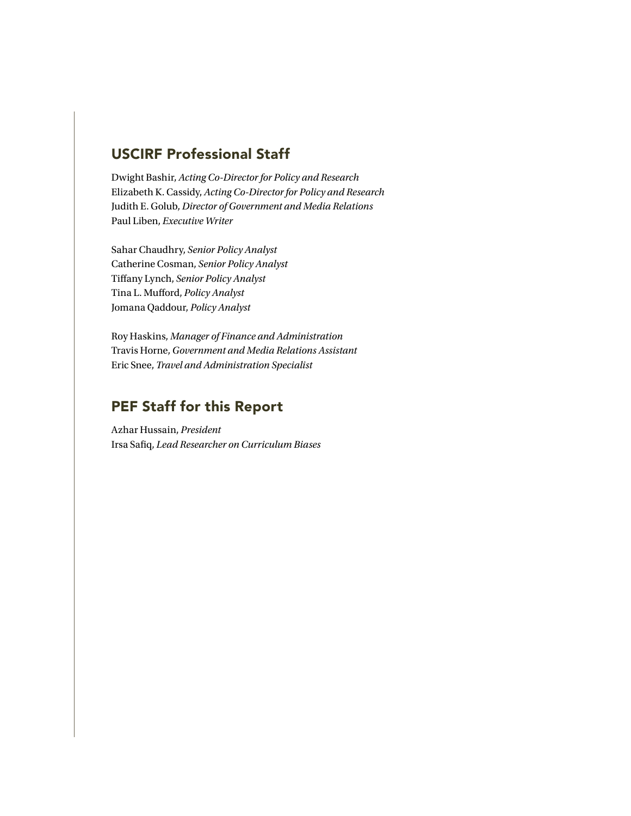## USCIRF Professional Staff

Dwight Bashir, *Acting Co-Director for Policy and Research*  Elizabeth K. Cassidy, *Acting Co-Director for Policy and Research* Judith E. Golub, *Director of Government and Media Relations* Paul Liben, *Executive Writer*

Sahar Chaudhry, *Senior Policy Analyst* Catherine Cosman, *Senior Policy Analyst* Tiffany Lynch, *Senior Policy Analyst* Tina L. Mufford, *Policy Analyst* Jomana Qaddour, *Policy Analyst*

Roy Haskins, *Manager of Finance and Administration* Travis Horne, *Government and Media Relations Assistant* Eric Snee, *Travel and Administration Specialist*

## PEF Staff for this Report

Azhar Hussain, *President* Irsa Safiq, *Lead Researcher on Curriculum Biases*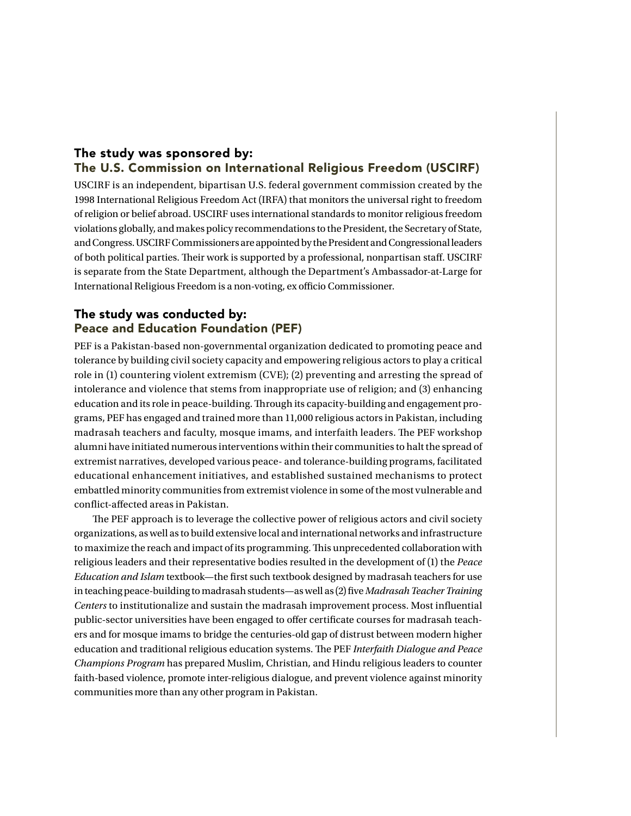### The study was sponsored by: The U.S. Commission on International Religious Freedom (USCIRF)

USCIRF is an independent, bipartisan U.S. federal government commission created by the 1998 International Religious Freedom Act (IRFA) that monitors the universal right to freedom of religion or belief abroad. USCIRF uses international standards to monitor religious freedom violations globally, and makes policy recommendations to the President, the Secretary of State, and Congress. USCIRF Commissioners are appointed by the President and Congressional leaders of both political parties. Their work is supported by a professional, nonpartisan staff. USCIRF is separate from the State Department, although the Department's Ambassador-at-Large for International Religious Freedom is a non-voting, ex officio Commissioner.

### The study was conducted by: Peace and Education Foundation (PEF)

PEF is a Pakistan-based non-governmental organization dedicated to promoting peace and tolerance by building civil society capacity and empowering religious actors to play a critical role in (1) countering violent extremism (CVE); (2) preventing and arresting the spread of intolerance and violence that stems from inappropriate use of religion; and (3) enhancing education and its role in peace-building. Through its capacity-building and engagement programs, PEF has engaged and trained more than 11,000 religious actors in Pakistan, including madrasah teachers and faculty, mosque imams, and interfaith leaders. The PEF workshop alumni have initiated numerous interventions within their communities to halt the spread of extremist narratives, developed various peace- and tolerance-building programs, facilitated educational enhancement initiatives, and established sustained mechanisms to protect embattled minority communities from extremist violence in some of the most vulnerable and conflict-affected areas in Pakistan.

The PEF approach is to leverage the collective power of religious actors and civil society organizations, as well as to build extensive local and international networks and infrastructure to maximize the reach and impact of its programming. This unprecedented collaboration with religious leaders and their representative bodies resulted in the development of (1) the *Peace Education and Islam* textbook—the first such textbook designed by madrasah teachers for use in teaching peace-building to madrasah students—as well as (2) five *Madrasah Teacher Training Centers* to institutionalize and sustain the madrasah improvement process. Most influential public-sector universities have been engaged to offer certificate courses for madrasah teachers and for mosque imams to bridge the centuries-old gap of distrust between modern higher education and traditional religious education systems. The PEF *Interfaith Dialogue and Peace Champions Program* has prepared Muslim, Christian, and Hindu religious leaders to counter faith-based violence, promote inter-religious dialogue, and prevent violence against minority communities more than any other program in Pakistan.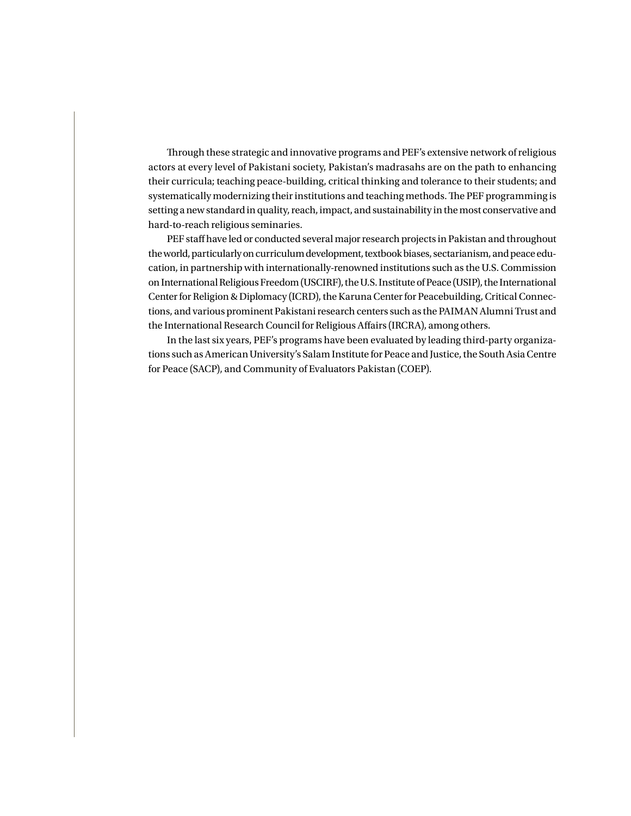Through these strategic and innovative programs and PEF's extensive network of religious actors at every level of Pakistani society, Pakistan's madrasahs are on the path to enhancing their curricula; teaching peace-building, critical thinking and tolerance to their students; and systematically modernizing their institutions and teaching methods. The PEF programming is setting a new standard in quality, reach, impact, and sustainability in the most conservative and hard-to-reach religious seminaries.

PEF staff have led or conducted several major research projects in Pakistan and throughout the world, particularly on curriculum development, textbook biases, sectarianism, and peace education, in partnership with internationally-renowned institutions such as the U.S. Commission on International Religious Freedom (USCIRF), the U.S. Institute of Peace (USIP), the International Center for Religion & Diplomacy (ICRD), the Karuna Center for Peacebuilding, Critical Connections, and various prominent Pakistani research centers such as the PAIMAN Alumni Trust and the International Research Council for Religious Affairs (IRCRA), among others.

In the last six years, PEF's programs have been evaluated by leading third-party organizations such as American University's Salam Institute for Peace and Justice, the South Asia Centre for Peace (SACP), and Community of Evaluators Pakistan (COEP).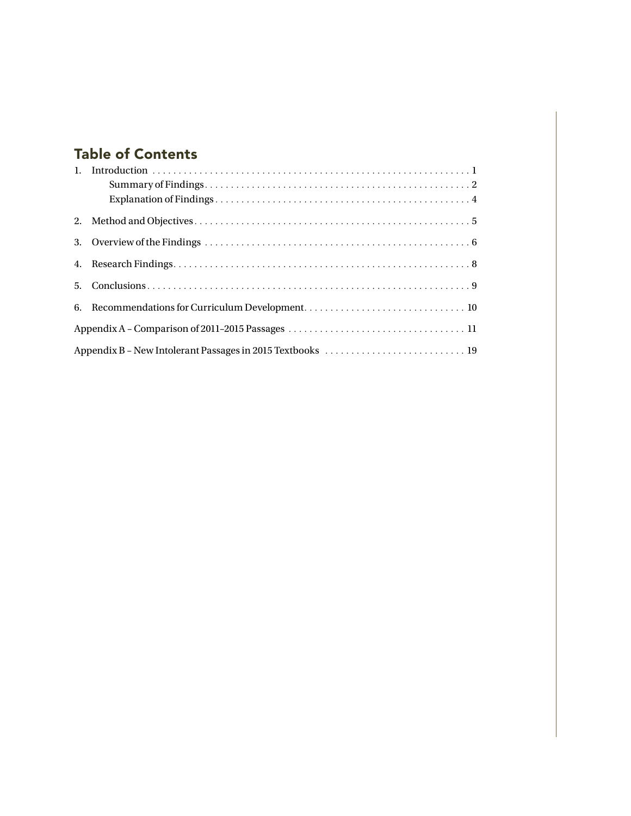## Table of Contents

| 2. |  |  |  |  |  |  |  |
|----|--|--|--|--|--|--|--|
| 3. |  |  |  |  |  |  |  |
|    |  |  |  |  |  |  |  |
|    |  |  |  |  |  |  |  |
|    |  |  |  |  |  |  |  |
|    |  |  |  |  |  |  |  |
|    |  |  |  |  |  |  |  |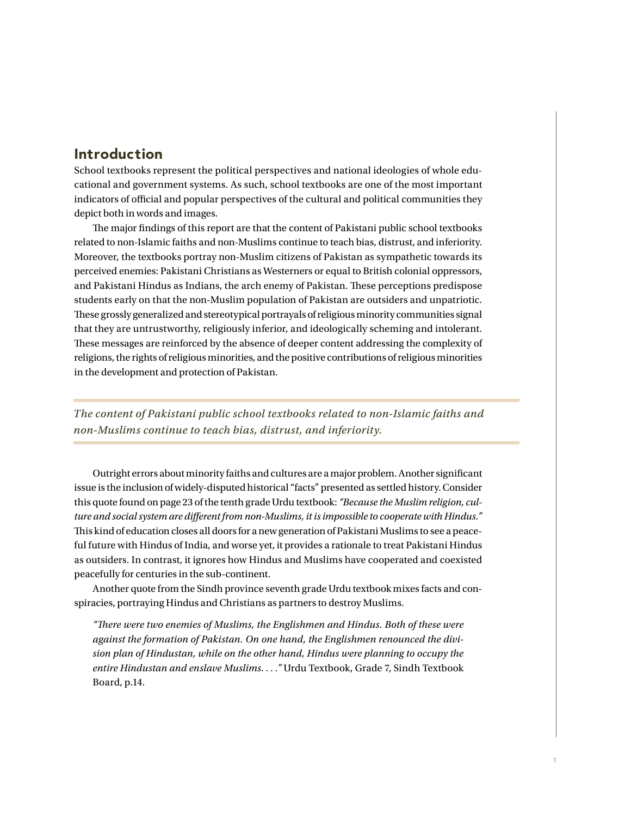## Introduction

School textbooks represent the political perspectives and national ideologies of whole educational and government systems. As such, school textbooks are one of the most important indicators of official and popular perspectives of the cultural and political communities they depict both in words and images.

The major findings of this report are that the content of Pakistani public school textbooks related to non-Islamic faiths and non-Muslims continue to teach bias, distrust, and inferiority. Moreover, the textbooks portray non-Muslim citizens of Pakistan as sympathetic towards its perceived enemies: Pakistani Christians as Westerners or equal to British colonial oppressors, and Pakistani Hindus as Indians, the arch enemy of Pakistan. These perceptions predispose students early on that the non-Muslim population of Pakistan are outsiders and unpatriotic. These grossly generalized and stereotypical portrayals of religious minority communities signal that they are untrustworthy, religiously inferior, and ideologically scheming and intolerant. These messages are reinforced by the absence of deeper content addressing the complexity of religions, the rights of religious minorities, and the positive contributions of religious minorities in the development and protection of Pakistan.

*The content of Pakistani public school textbooks related to non-Islamic faiths and non-Muslims continue to teach bias, distrust, and inferiority.*

Outright errors about minority faiths and cultures are a major problem. Another significant issue is the inclusion of widely-disputed historical "facts" presented as settled history. Consider this quote found on page 23 of the tenth grade Urdu textbook: *"Because the Muslim religion, culture and social system are different from non-Muslims, it is impossible to cooperate with Hindus."* This kind of education closes all doors for a new generation of Pakistani Muslims to see a peaceful future with Hindus of India, and worse yet, it provides a rationale to treat Pakistani Hindus as outsiders. In contrast, it ignores how Hindus and Muslims have cooperated and coexisted peacefully for centuries in the sub-continent.

Another quote from the Sindh province seventh grade Urdu textbook mixes facts and conspiracies, portraying Hindus and Christians as partners to destroy Muslims.

*"There were two enemies of Muslims, the Englishmen and Hindus. Both of these were against the formation of Pakistan. On one hand, the Englishmen renounced the division plan of Hindustan, while on the other hand, Hindus were planning to occupy the entire Hindustan and enslave Muslims. . . ."* Urdu Textbook, Grade 7, Sindh Textbook Board, p.14.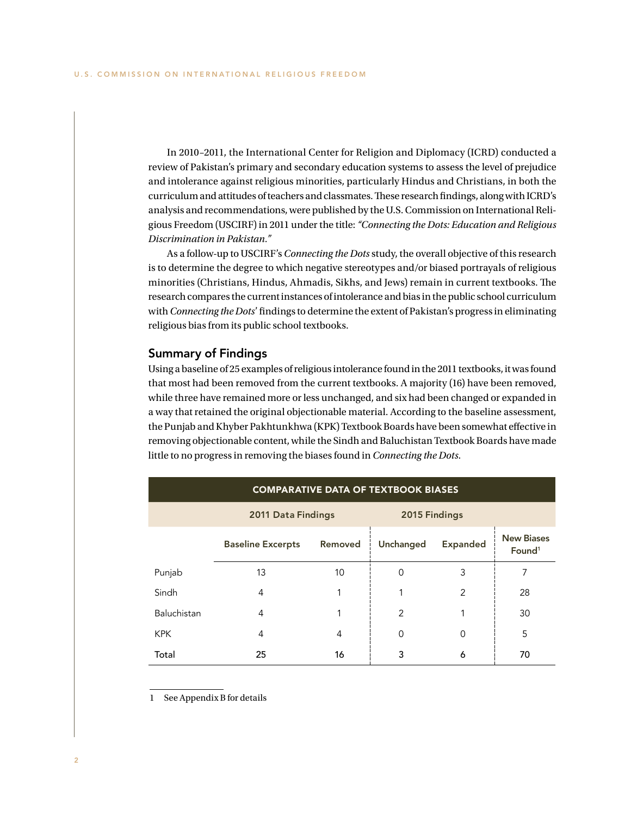In 2010–2011, the International Center for Religion and Diplomacy (ICRD) conducted a review of Pakistan's primary and secondary education systems to assess the level of prejudice and intolerance against religious minorities, particularly Hindus and Christians, in both the curriculum and attitudes of teachers and classmates. These research findings, along with ICRD's analysis and recommendations, were published by the U.S. Commission on International Religious Freedom (USCIRF) in 2011 under the title: *"Connecting the Dots: Education and Religious Discrimination in Pakistan."*

As a follow-up to USCIRF's *Connecting the Dots* study, the overall objective of this research is to determine the degree to which negative stereotypes and/or biased portrayals of religious minorities (Christians, Hindus, Ahmadis, Sikhs, and Jews) remain in current textbooks. The research compares the current instances of intolerance and bias in the public school curriculum with *Connecting the Dots*' findings to determine the extent of Pakistan's progress in eliminating religious bias from its public school textbooks.

### Summary of Findings

Using a baseline of 25 examples of religious intolerance found in the 2011 textbooks, it was found that most had been removed from the current textbooks. A majority (16) have been removed, while three have remained more or less unchanged, and six had been changed or expanded in a way that retained the original objectionable material. According to the baseline assessment, the Punjab and Khyber Pakhtunkhwa (KPK) Textbook Boards have been somewhat effective in removing objectionable content, while the Sindh and Baluchistan Textbook Boards have made little to no progress in removing the biases found in *Connecting the Dots*.

| <b>COMPARATIVE DATA OF TEXTBOOK BIASES</b> |                                     |               |                              |          |                                         |  |  |  |  |
|--------------------------------------------|-------------------------------------|---------------|------------------------------|----------|-----------------------------------------|--|--|--|--|
|                                            | 2011 Data Findings                  | 2015 Findings |                              |          |                                         |  |  |  |  |
|                                            | Removed<br><b>Baseline Excerpts</b> |               | Unchanged<br><b>Expanded</b> |          | <b>New Biases</b><br>Found <sup>1</sup> |  |  |  |  |
| Punjab                                     | 13                                  | 10            | 0                            | 3        | 7                                       |  |  |  |  |
| Sindh                                      | 4                                   |               |                              | 2        | 28                                      |  |  |  |  |
| Baluchistan                                | 4                                   | 1             | 2                            |          | 30                                      |  |  |  |  |
| <b>KPK</b>                                 | 4                                   | 4             | 0                            | $\Omega$ | 5                                       |  |  |  |  |
| Total                                      | 25                                  | 16            | 3                            | 6        | 70                                      |  |  |  |  |

1 See Appendix B for details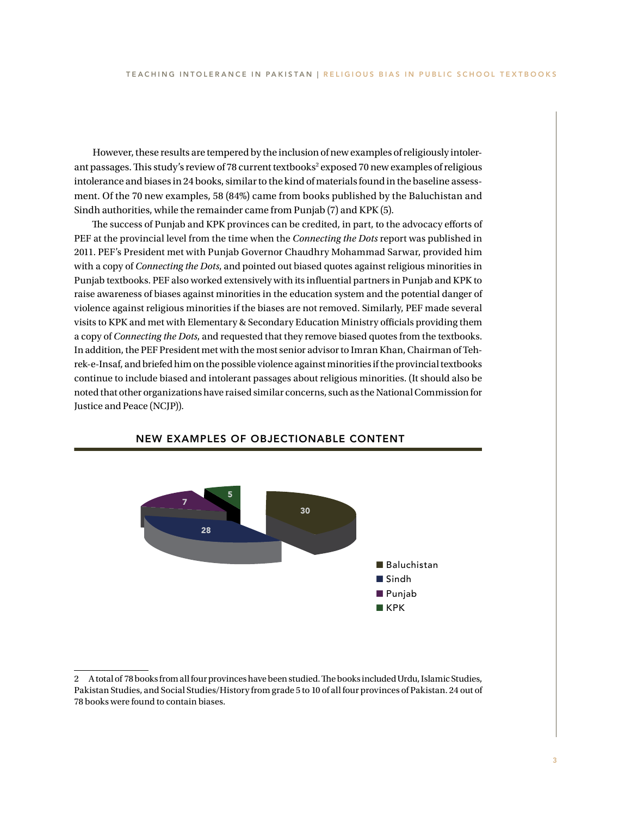However, these results are tempered by the inclusion of new examples of religiously intolerant passages. This study's review of 78 current textbooks<sup>2</sup> exposed 70 new examples of religious intolerance and biases in 24 books, similar to the kind of materials found in the baseline assessment. Of the 70 new examples, 58 (84%) came from books published by the Baluchistan and Sindh authorities, while the remainder came from Punjab (7) and KPK (5).

The success of Punjab and KPK provinces can be credited, in part, to the advocacy efforts of PEF at the provincial level from the time when the *Connecting the Dots* report was published in 2011. PEF's President met with Punjab Governor Chaudhry Mohammad Sarwar, provided him with a copy of *Connecting the Dots*, and pointed out biased quotes against religious minorities in Punjab textbooks. PEF also worked extensively with its influential partners in Punjab and KPK to raise awareness of biases against minorities in the education system and the potential danger of violence against religious minorities if the biases are not removed. Similarly, PEF made several visits to KPK and met with Elementary & Secondary Education Ministry officials providing them a copy of *Connecting the Dots*, and requested that they remove biased quotes from the textbooks. In addition, the PEF President met with the most senior advisor to Imran Khan, Chairman of Tehrek-e-Insaf, and briefed him on the possible violence against minorities if the provincial textbooks continue to include biased and intolerant passages about religious minorities. (It should also be noted that other organizations have raised similar concerns, such as the National Commission for Justice and Peace (NCJP)).



### NEW EXAMPLES OF OBJECTIONABLE CONTENT

<sup>2</sup> A total of 78 books from all four provinces have been studied. The books included Urdu, Islamic Studies, Pakistan Studies, and Social Studies/History from grade 5 to 10 of all four provinces of Pakistan. 24 out of 78 books were found to contain biases.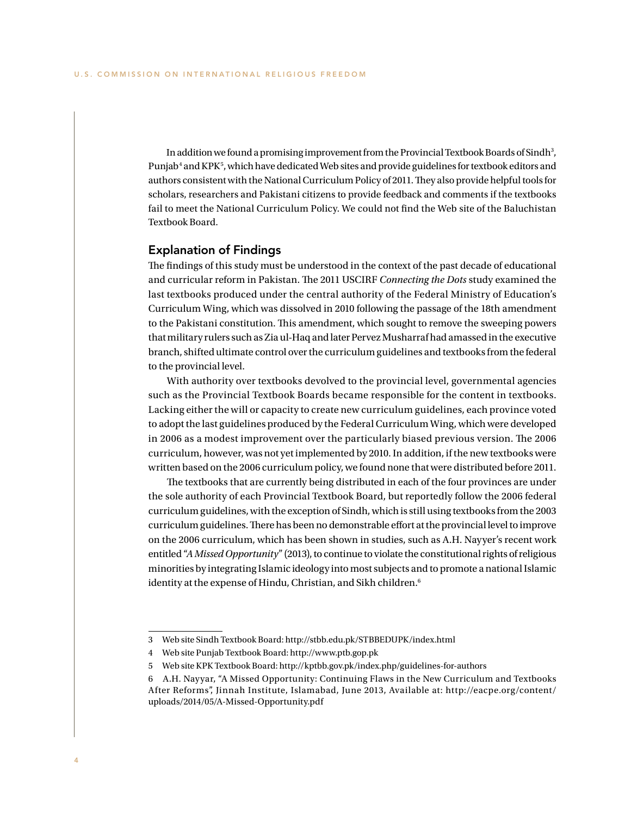In addition we found a promising improvement from the Provincial Textbook Boards of Sindh<sup>3</sup>, Punjab<sup>4</sup> and KPK<sup>5</sup>, which have dedicated Web sites and provide guidelines for textbook editors and authors consistent with the National Curriculum Policy of 2011. They also provide helpful tools for scholars, researchers and Pakistani citizens to provide feedback and comments if the textbooks fail to meet the National Curriculum Policy. We could not find the Web site of the Baluchistan Textbook Board.

### Explanation of Findings

The findings of this study must be understood in the context of the past decade of educational and curricular reform in Pakistan. The 2011 USCIRF *Connecting the Dots* study examined the last textbooks produced under the central authority of the Federal Ministry of Education's Curriculum Wing, which was dissolved in 2010 following the passage of the 18th amendment to the Pakistani constitution. This amendment, which sought to remove the sweeping powers that military rulers such as Zia ul-Haq and later Pervez Musharraf had amassed in the executive branch, shifted ultimate control over the curriculum guidelines and textbooks from the federal to the provincial level.

With authority over textbooks devolved to the provincial level, governmental agencies such as the Provincial Textbook Boards became responsible for the content in textbooks. Lacking either the will or capacity to create new curriculum guidelines, each province voted to adopt the last guidelines produced by the Federal Curriculum Wing, which were developed in 2006 as a modest improvement over the particularly biased previous version. The 2006 curriculum, however, was not yet implemented by 2010. In addition, if the new textbooks were written based on the 2006 curriculum policy, we found none that were distributed before 2011.

The textbooks that are currently being distributed in each of the four provinces are under the sole authority of each Provincial Textbook Board, but reportedly follow the 2006 federal curriculum guidelines, with the exception of Sindh, which is still using textbooks from the 2003 curriculum guidelines. There has been no demonstrable effort at the provincial level to improve on the 2006 curriculum, which has been shown in studies, such as A.H. Nayyer's recent work entitled "*A Missed Opportunity*" (2013), to continue to violate the constitutional rights of religious minorities by integrating Islamic ideology into most subjects and to promote a national Islamic identity at the expense of Hindu, Christian, and Sikh children.<sup>6</sup>

<sup>3</sup> Web site Sindh Textbook Board: http://stbb.edu.pk/STBBEDUPK/index.html

<sup>4</sup> Web site Punjab Textbook Board: http://www.ptb.gop.pk

<sup>5</sup> Web site KPK Textbook Board: http://kptbb.gov.pk/index.php/guidelines-for-authors

<sup>6</sup> A.H. Nayyar, "A Missed Opportunity: Continuing Flaws in the New Curriculum and Textbooks After Reforms", Jinnah Institute, Islamabad, June 2013, Available at: http://eacpe.org/content/ uploads/2014/05/A-Missed-Opportunity.pdf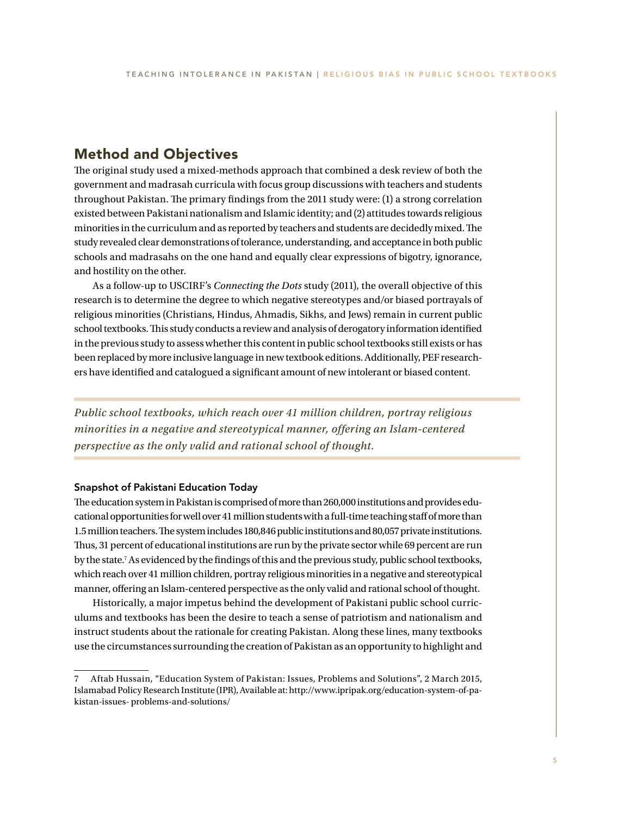## Method and Objectives

The original study used a mixed-methods approach that combined a desk review of both the government and madrasah curricula with focus group discussions with teachers and students throughout Pakistan. The primary findings from the 2011 study were: (1) a strong correlation existed between Pakistani nationalism and Islamic identity; and (2) attitudes towards religious minorities in the curriculum and as reported by teachers and students are decidedly mixed. The study revealed clear demonstrations of tolerance, understanding, and acceptance in both public schools and madrasahs on the one hand and equally clear expressions of bigotry, ignorance, and hostility on the other.

As a follow-up to USCIRF's *Connecting the Dots* study (2011), the overall objective of this research is to determine the degree to which negative stereotypes and/or biased portrayals of religious minorities (Christians, Hindus, Ahmadis, Sikhs, and Jews) remain in current public school textbooks. This study conducts a review and analysis of derogatory information identified in the previous study to assess whether this content in public school textbooks still exists or has been replaced by more inclusive language in new textbook editions. Additionally, PEF researchers have identified and catalogued a significant amount of new intolerant or biased content.

*Public school textbooks, which reach over 41 million children, portray religious minorities in a negative and stereotypical manner, offering an Islam-centered perspective as the only valid and rational school of thought.*

### Snapshot of Pakistani Education Today

The education system in Pakistan is comprised of more than 260,000 institutions and provides educational opportunities for well over 41 million students with a full-time teaching staff of more than 1.5 million teachers. The system includes 180,846 public institutions and 80,057 private institutions. Thus, 31 percent of educational institutions are run by the private sector while 69 percent are run by the state.7 As evidenced by the findings of this and the previous study, public school textbooks, which reach over 41 million children, portray religious minorities in a negative and stereotypical manner, offering an Islam-centered perspective as the only valid and rational school of thought.

Historically, a major impetus behind the development of Pakistani public school curriculums and textbooks has been the desire to teach a sense of patriotism and nationalism and instruct students about the rationale for creating Pakistan. Along these lines, many textbooks use the circumstances surrounding the creation of Pakistan as an opportunity to highlight and

<sup>7</sup> Aftab Hussain, "Education System of Pakistan: Issues, Problems and Solutions", 2 March 2015, Islamabad Policy Research Institute (IPR), Available at: http://www.ipripak.org/education-system-of-pakistan-issues- problems-and-solutions/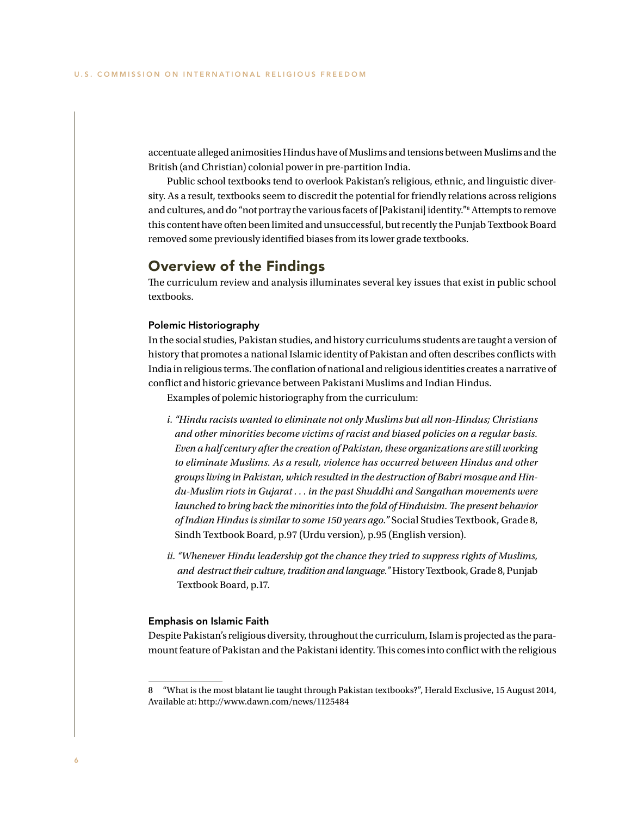accentuate alleged animosities Hindus have of Muslims and tensions between Muslims and the British (and Christian) colonial power in pre-partition India.

Public school textbooks tend to overlook Pakistan's religious, ethnic, and linguistic diversity. As a result, textbooks seem to discredit the potential for friendly relations across religions and cultures, and do "not portray the various facets of [Pakistani] identity."<sup>8</sup> Attempts to remove this content have often been limited and unsuccessful, but recently the Punjab Textbook Board removed some previously identified biases from its lower grade textbooks.

### Overview of the Findings

The curriculum review and analysis illuminates several key issues that exist in public school textbooks.

### Polemic Historiography

In the social studies, Pakistan studies, and history curriculums students are taught a version of history that promotes a national Islamic identity of Pakistan and often describes conflicts with India in religious terms. The conflation of national and religious identities creates a narrative of conflict and historic grievance between Pakistani Muslims and Indian Hindus.

Examples of polemic historiography from the curriculum:

- *i. "Hindu racists wanted to eliminate not only Muslims but all non-Hindus; Christians and other minorities become victims of racist and biased policies on a regular basis. Even a half century after the creation of Pakistan, these organizations are still working to eliminate Muslims. As a result, violence has occurred between Hindus and other groups living in Pakistan, which resulted in the destruction of Babri mosque and Hindu-Muslim riots in Gujarat . . . in the past Shuddhi and Sangathan movements were launched to bring back the minorities into the fold of Hinduisim. The present behavior of Indian Hindus is similar to some 150 years ago."* Social Studies Textbook, Grade 8, Sindh Textbook Board, p.97 (Urdu version), p.95 (English version).
- *ii. "Whenever Hindu leadership got the chance they tried to suppress rights of Muslims, and destruct their culture, tradition and language."* History Textbook, Grade 8, Punjab Textbook Board, p.17.

### Emphasis on Islamic Faith

Despite Pakistan's religious diversity, throughout the curriculum, Islam is projected as the paramount feature of Pakistan and the Pakistani identity. This comes into conflict with the religious

<sup>8</sup> "What is the most blatant lie taught through Pakistan textbooks?", Herald Exclusive, 15 August 2014, Available at: http://www.dawn.com/news/1125484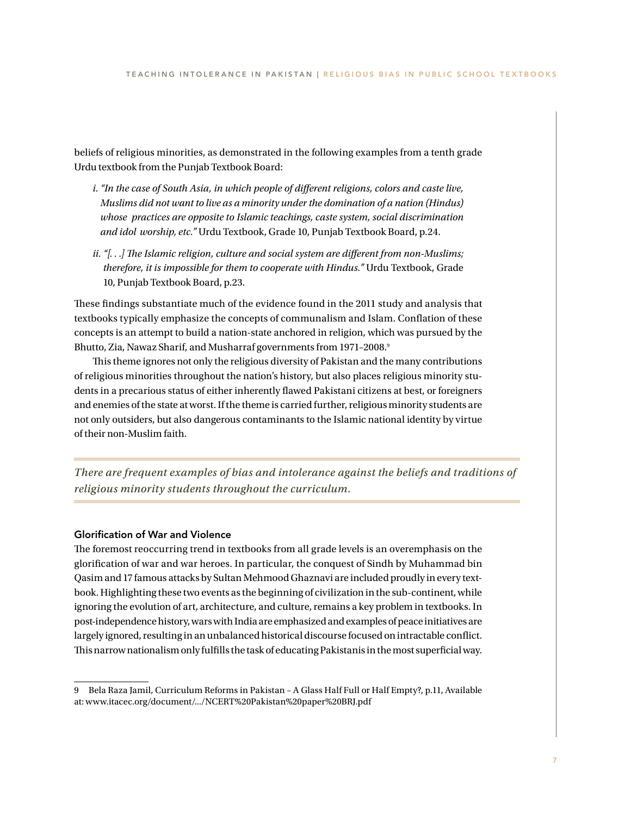beliefs of religious minorities, as demonstrated in the following examples from a tenth grade Urdu textbook from the Punjab Textbook Board:

- *i. "In the case of South Asia, in which people of different religions, colors and caste live, Muslims did not want to live as a minority under the domination of a nation (Hindus) whose practices are opposite to Islamic teachings, caste system, social discrimination and idol worship, etc."* Urdu Textbook, Grade 10, Punjab Textbook Board, p.24.
- *ii. "[. . .] The Islamic religion, culture and social system are different from non-Muslims; therefore, it is impossible for them to cooperate with Hindus."* Urdu Textbook, Grade 10, Punjab Textbook Board, p.23.

These findings substantiate much of the evidence found in the 2011 study and analysis that textbooks typically emphasize the concepts of communalism and Islam. Conflation of these concepts is an attempt to build a nation-state anchored in religion, which was pursued by the Bhutto, Zia, Nawaz Sharif, and Musharraf governments from 1971-2008.9

This theme ignores not only the religious diversity of Pakistan and the many contributions of religious minorities throughout the nation's history, but also places religious minority students in a precarious status of either inherently flawed Pakistani citizens at best, or foreigners and enemies of the state at worst. If the theme is carried further, religious minority students are not only outsiders, but also dangerous contaminants to the Islamic national identity by virtue of their non-Muslim faith.

*There are frequent examples of bias and intolerance against the beliefs and traditions of religious minority students throughout the curriculum.*

### Glorification of War and Violence

The foremost reoccurring trend in textbooks from all grade levels is an overemphasis on the glorification of war and war heroes. In particular, the conquest of Sindh by Muhammad bin Qasim and 17 famous attacks by Sultan Mehmood Ghaznavi are included proudly in every textbook. Highlighting these two events as the beginning of civilization in the sub-continent, while ignoring the evolution of art, architecture, and culture, remains a key problem in textbooks. In post-independence history, wars with India are emphasized and examples of peace initiatives are largely ignored, resulting in an unbalanced historical discourse focused on intractable conflict. This narrow nationalism only fulfills the task of educating Pakistanis in the most superficial way.

<sup>9</sup> Bela Raza Jamil, Curriculum Reforms in Pakistan – A Glass Half Full or Half Empty?, p.11, Available at: www.itacec.org/document/.../NCERT%20Pakistan%20paper%20BRJ.pdf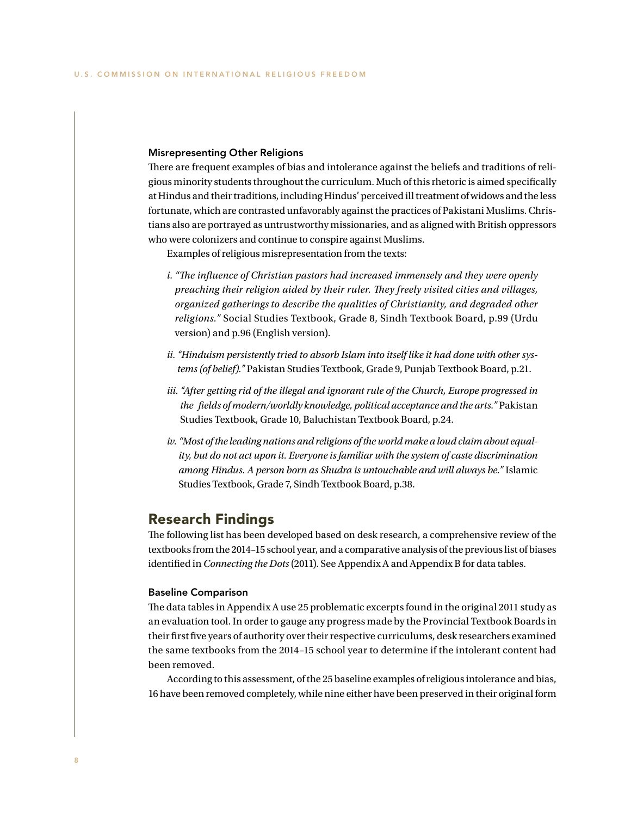### Misrepresenting Other Religions

There are frequent examples of bias and intolerance against the beliefs and traditions of religious minority students throughout the curriculum. Much of this rhetoric is aimed specifically at Hindus and their traditions, including Hindus' perceived ill treatment of widows and the less fortunate, which are contrasted unfavorably against the practices of Pakistani Muslims. Christians also are portrayed as untrustworthy missionaries, and as aligned with British oppressors who were colonizers and continue to conspire against Muslims.

Examples of religious misrepresentation from the texts:

- *i. "The influence of Christian pastors had increased immensely and they were openly preaching their religion aided by their ruler. They freely visited cities and villages, organized gatherings to describe the qualities of Christianity, and degraded other religions."* Social Studies Textbook, Grade 8, Sindh Textbook Board, p.99 (Urdu version) and p.96 (English version).
- *ii. "Hinduism persistently tried to absorb Islam into itself like it had done with other systems (of belief)."* Pakistan Studies Textbook, Grade 9, Punjab Textbook Board, p.21.
- *iii. "After getting rid of the illegal and ignorant rule of the Church, Europe progressed in the fields of modern/worldly knowledge, political acceptance and the arts."* Pakistan Studies Textbook, Grade 10, Baluchistan Textbook Board, p.24.
- *iv. "Most of the leading nations and religions of the world make a loud claim about equality, but do not act upon it. Everyone is familiar with the system of caste discrimination among Hindus. A person born as Shudra is untouchable and will always be."* Islamic Studies Textbook, Grade 7, Sindh Textbook Board, p.38.

### Research Findings

The following list has been developed based on desk research, a comprehensive review of the textbooks from the 2014–15 school year, and a comparative analysis of the previous list of biases identified in *Connecting the Dots* (2011). See Appendix A and Appendix B for data tables.

### Baseline Comparison

The data tables in Appendix A use 25 problematic excerpts found in the original 2011 study as an evaluation tool. In order to gauge any progress made by the Provincial Textbook Boards in their first five years of authority over their respective curriculums, desk researchers examined the same textbooks from the 2014–15 school year to determine if the intolerant content had been removed.

According to this assessment, of the 25 baseline examples of religious intolerance and bias, 16 have been removed completely, while nine either have been preserved in their original form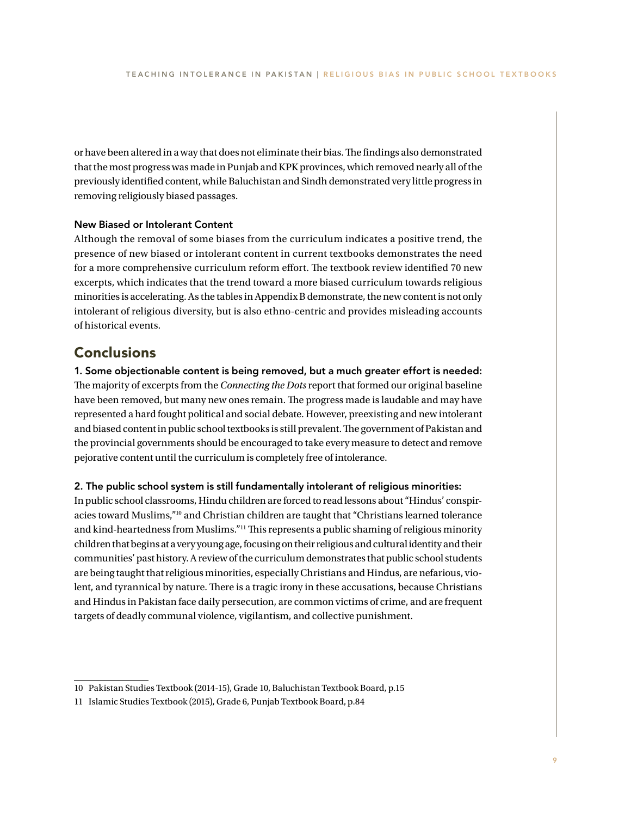or have been altered in a way that does not eliminate their bias. The findings also demonstrated that the most progress was made in Punjab and KPK provinces, which removed nearly all of the previously identified content, while Baluchistan and Sindh demonstrated very little progress in removing religiously biased passages.

### New Biased or Intolerant Content

Although the removal of some biases from the curriculum indicates a positive trend, the presence of new biased or intolerant content in current textbooks demonstrates the need for a more comprehensive curriculum reform effort. The textbook review identified 70 new excerpts, which indicates that the trend toward a more biased curriculum towards religious minorities is accelerating. As the tables in Appendix B demonstrate, the new content is not only intolerant of religious diversity, but is also ethno-centric and provides misleading accounts of historical events.

### **Conclusions**

1. Some objectionable content is being removed, but a much greater effort is needed: The majority of excerpts from the *Connecting the Dots* report that formed our original baseline have been removed, but many new ones remain. The progress made is laudable and may have represented a hard fought political and social debate. However, preexisting and new intolerant and biased content in public school textbooks is still prevalent. The government of Pakistan and the provincial governments should be encouraged to take every measure to detect and remove pejorative content until the curriculum is completely free of intolerance.

### 2. The public school system is still fundamentally intolerant of religious minorities:

In public school classrooms, Hindu children are forced to read lessons about "Hindus' conspiracies toward Muslims,"10 and Christian children are taught that "Christians learned tolerance and kind-heartedness from Muslims."11 This represents a public shaming of religious minority children that begins at a very young age, focusing on their religious and cultural identity and their communities' past history. A review of the curriculum demonstrates that public school students are being taught that religious minorities, especially Christians and Hindus, are nefarious, violent, and tyrannical by nature. There is a tragic irony in these accusations, because Christians and Hindus in Pakistan face daily persecution, are common victims of crime, and are frequent targets of deadly communal violence, vigilantism, and collective punishment.

<sup>10</sup> Pakistan Studies Textbook (2014-15), Grade 10, Baluchistan Textbook Board, p.15

<sup>11</sup> Islamic Studies Textbook (2015), Grade 6, Punjab Textbook Board, p.84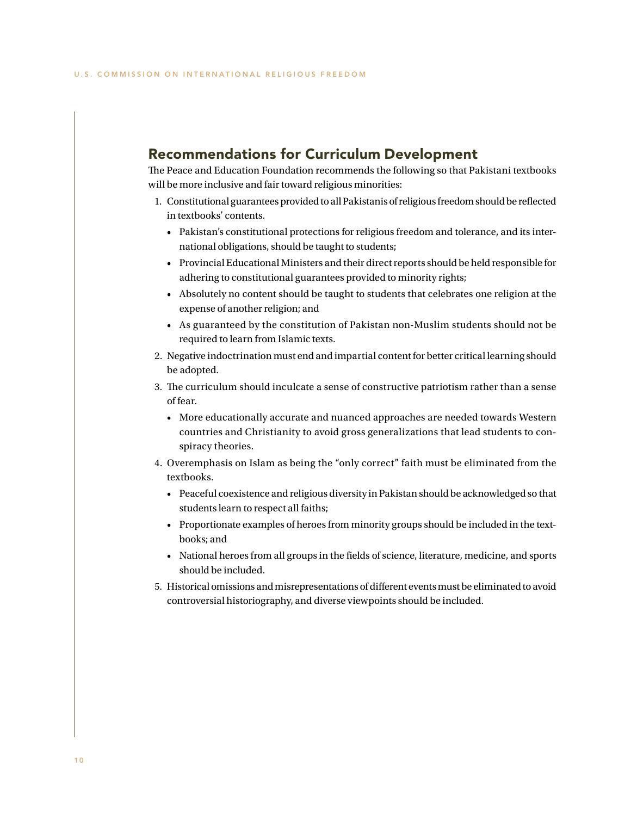### Recommendations for Curriculum Development

The Peace and Education Foundation recommends the following so that Pakistani textbooks will be more inclusive and fair toward religious minorities:

- 1. Constitutional guarantees provided to all Pakistanis of religious freedom should be reflected in textbooks' contents.
	- Pakistan's constitutional protections for religious freedom and tolerance, and its international obligations, should be taught to students;
	- Provincial Educational Ministers and their direct reports should be held responsible for adhering to constitutional guarantees provided to minority rights;
	- Absolutely no content should be taught to students that celebrates one religion at the expense of another religion; and
	- As guaranteed by the constitution of Pakistan non-Muslim students should not be required to learn from Islamic texts.
- 2. Negative indoctrination must end and impartial content for better critical learning should be adopted.
- 3. The curriculum should inculcate a sense of constructive patriotism rather than a sense of fear.
	- More educationally accurate and nuanced approaches are needed towards Western countries and Christianity to avoid gross generalizations that lead students to conspiracy theories.
- 4. Overemphasis on Islam as being the "only correct" faith must be eliminated from the textbooks.
	- Peaceful coexistence and religious diversity in Pakistan should be acknowledged so that students learn to respect all faiths;
	- Proportionate examples of heroes from minority groups should be included in the textbooks; and
	- National heroes from all groups in the fields of science, literature, medicine, and sports should be included.
- 5. Historical omissions and misrepresentations of different events must be eliminated to avoid controversial historiography, and diverse viewpoints should be included.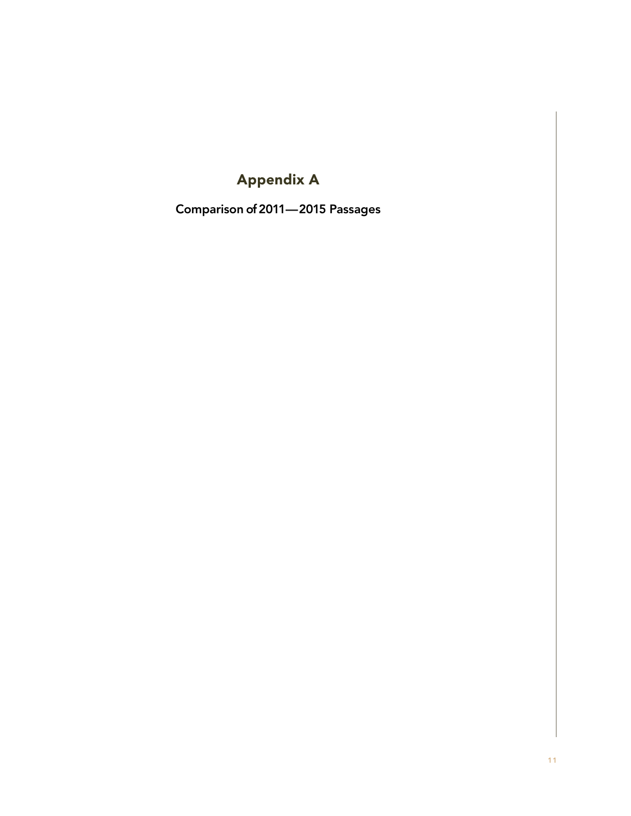## Appendix A

Comparison of 2011—2015 Passages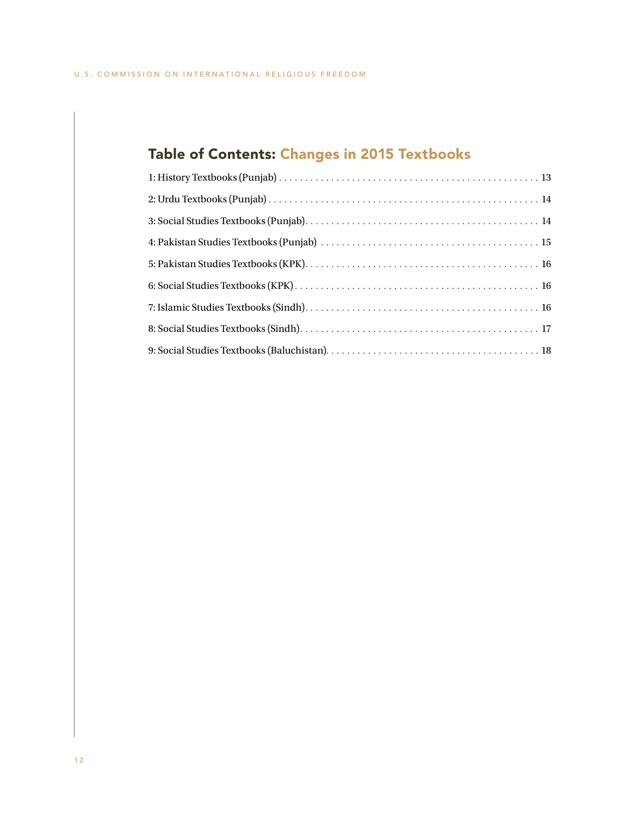# Table of Contents: Changes in 2015 Textbooks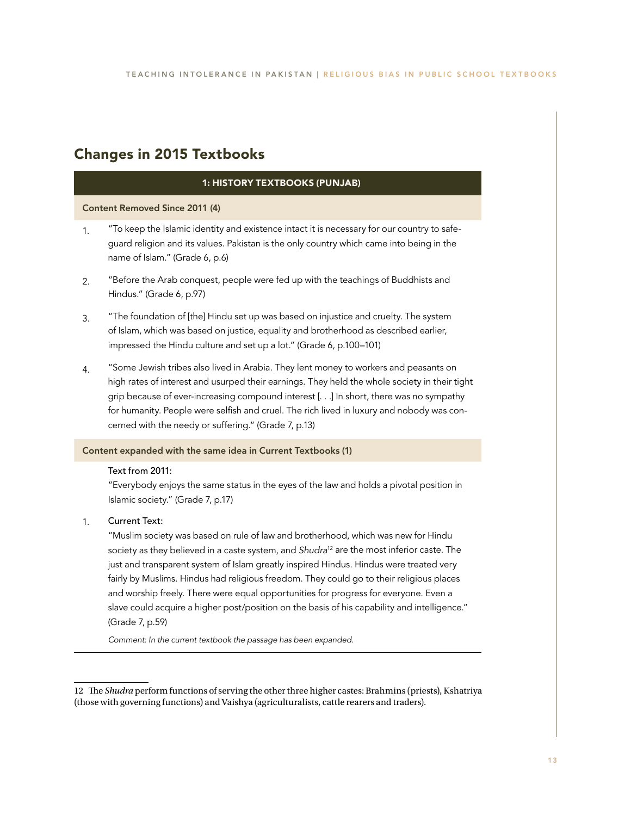## Changes in 2015 Textbooks

### 1: HISTORY TEXTBOOKS (PUNJAB)

Content Removed Since 2011 (4)

- 1. "To keep the Islamic identity and existence intact it is necessary for our country to safeguard religion and its values. Pakistan is the only country which came into being in the name of Islam." (Grade 6, p.6)
- 2. "Before the Arab conquest, people were fed up with the teachings of Buddhists and Hindus." (Grade 6, p.97)
- 3. "The foundation of [the] Hindu set up was based on injustice and cruelty. The system of Islam, which was based on justice, equality and brotherhood as described earlier, impressed the Hindu culture and set up a lot." (Grade 6, p.100–101)
- 4. "Some Jewish tribes also lived in Arabia. They lent money to workers and peasants on high rates of interest and usurped their earnings. They held the whole society in their tight grip because of ever-increasing compound interest [. . .] In short, there was no sympathy for humanity. People were selfish and cruel. The rich lived in luxury and nobody was concerned with the needy or suffering." (Grade 7, p.13)

### Content expanded with the same idea in Current Textbooks (1)

### Text from 2011:

"Everybody enjoys the same status in the eyes of the law and holds a pivotal position in Islamic society." (Grade 7, p.17)

#### 1. Current Text:

"Muslim society was based on rule of law and brotherhood, which was new for Hindu society as they believed in a caste system, and *Shudra*12 are the most inferior caste. The just and transparent system of Islam greatly inspired Hindus. Hindus were treated very fairly by Muslims. Hindus had religious freedom. They could go to their religious places and worship freely. There were equal opportunities for progress for everyone. Even a slave could acquire a higher post/position on the basis of his capability and intelligence." (Grade 7, p.59)

*Comment: In the current textbook the passage has been expanded.*

<sup>12</sup> The *Shudra* perform functions of serving the other three higher castes: Brahmins (priests), Kshatriya (those with governing functions) and Vaishya (agriculturalists, cattle rearers and traders).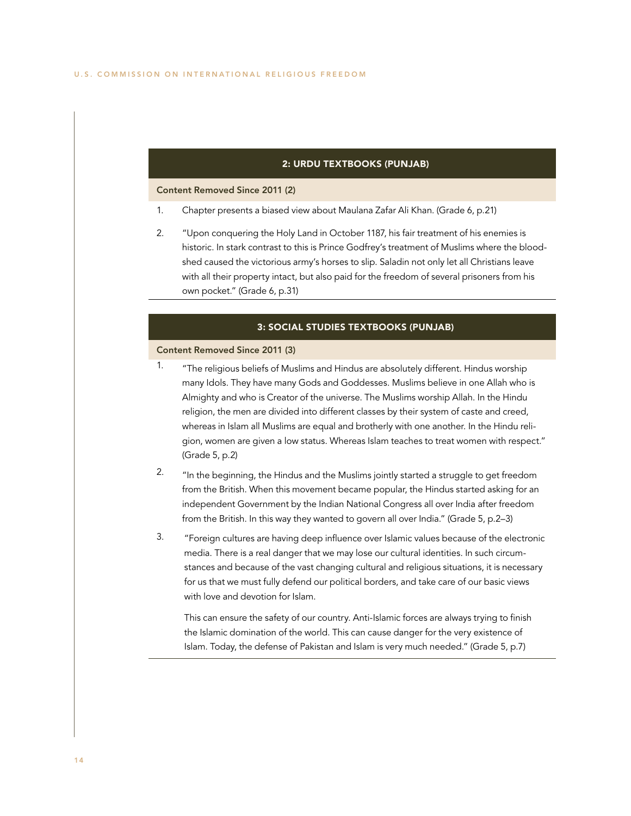### 2: URDU TEXTBOOKS (PUNJAB)

#### Content Removed Since 2011 (2)

- 1. Chapter presents a biased view about Maulana Zafar Ali Khan. (Grade 6, p.21)
- 2. "Upon conquering the Holy Land in October 1187, his fair treatment of his enemies is historic. In stark contrast to this is Prince Godfrey's treatment of Muslims where the bloodshed caused the victorious army's horses to slip. Saladin not only let all Christians leave with all their property intact, but also paid for the freedom of several prisoners from his own pocket." (Grade 6, p.31)

### 3: SOCIAL STUDIES TEXTBOOKS (PUNJAB)

### Content Removed Since 2011 (3)

- <sup>1.</sup> "The religious beliefs of Muslims and Hindus are absolutely different. Hindus worship many Idols. They have many Gods and Goddesses. Muslims believe in one Allah who is Almighty and who is Creator of the universe. The Muslims worship Allah. In the Hindu religion, the men are divided into different classes by their system of caste and creed, whereas in Islam all Muslims are equal and brotherly with one another. In the Hindu religion, women are given a low status. Whereas Islam teaches to treat women with respect." (Grade 5, p.2)
- 2. "In the beginning, the Hindus and the Muslims jointly started a struggle to get freedom from the British. When this movement became popular, the Hindus started asking for an independent Government by the Indian National Congress all over India after freedom from the British. In this way they wanted to govern all over India." (Grade 5, p.2–3)
- 3. "Foreign cultures are having deep influence over Islamic values because of the electronic media. There is a real danger that we may lose our cultural identities. In such circumstances and because of the vast changing cultural and religious situations, it is necessary for us that we must fully defend our political borders, and take care of our basic views with love and devotion for Islam.

This can ensure the safety of our country. Anti-Islamic forces are always trying to finish the Islamic domination of the world. This can cause danger for the very existence of Islam. Today, the defense of Pakistan and Islam is very much needed." (Grade 5, p.7)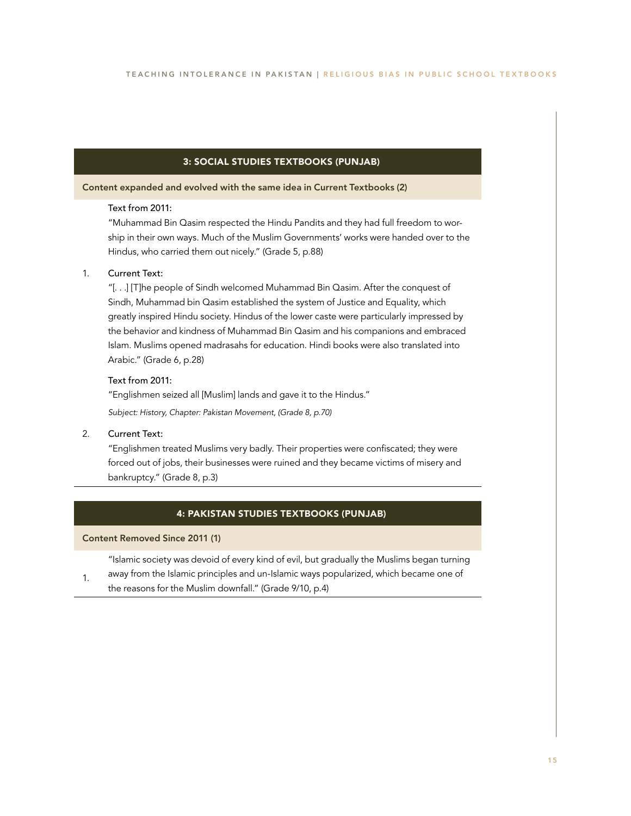### 3: SOCIAL STUDIES TEXTBOOKS (PUNJAB)

Content expanded and evolved with the same idea in Current Textbooks (2)

### Text from 2011:

"Muhammad Bin Qasim respected the Hindu Pandits and they had full freedom to worship in their own ways. Much of the Muslim Governments' works were handed over to the Hindus, who carried them out nicely." (Grade 5, p.88)

#### 1. Current Text:

"[. . .] [T]he people of Sindh welcomed Muhammad Bin Qasim. After the conquest of Sindh, Muhammad bin Qasim established the system of Justice and Equality, which greatly inspired Hindu society. Hindus of the lower caste were particularly impressed by the behavior and kindness of Muhammad Bin Qasim and his companions and embraced Islam. Muslims opened madrasahs for education. Hindi books were also translated into Arabic." (Grade 6, p.28)

### Text from 2011:

"Englishmen seized all [Muslim] lands and gave it to the Hindus."

*Subject: History, Chapter: Pakistan Movement, (Grade 8, p.70)*

#### 2. Current Text:

"Englishmen treated Muslims very badly. Their properties were confiscated; they were forced out of jobs, their businesses were ruined and they became victims of misery and bankruptcy." (Grade 8, p.3)

### 4: PAKISTAN STUDIES TEXTBOOKS (PUNJAB)

### Content Removed Since 2011 (1)

"Islamic society was devoid of every kind of evil, but gradually the Muslims began turning

1. away from the Islamic principles and un-Islamic ways popularized, which became one of the reasons for the Muslim downfall." (Grade 9/10, p.4)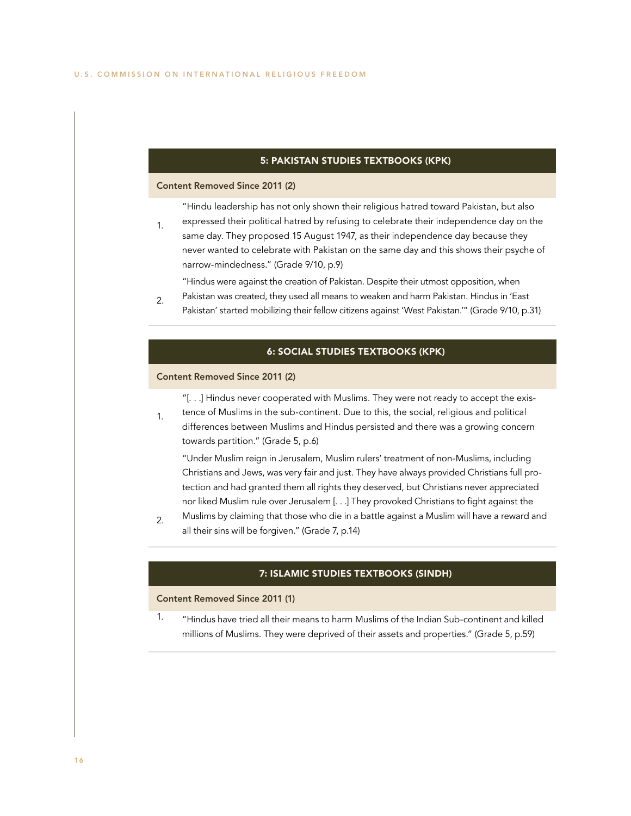### 5: PAKISTAN STUDIES TEXTBOOKS (KPK)

### Content Removed Since 2011 (2)

"Hindu leadership has not only shown their religious hatred toward Pakistan, but also

1. expressed their political hatred by refusing to celebrate their independence day on the same day. They proposed 15 August 1947, as their independence day because they never wanted to celebrate with Pakistan on the same day and this shows their psyche of narrow-mindedness." (Grade 9/10, p.9)

"Hindus were against the creation of Pakistan. Despite their utmost opposition, when

2. Pakistan was created, they used all means to weaken and harm Pakistan. Hindus in 'East Pakistan' started mobilizing their fellow citizens against 'West Pakistan.'" (Grade 9/10, p.31)

### 6: SOCIAL STUDIES TEXTBOOKS (KPK)

### Content Removed Since 2011 (2)

"[. . .] Hindus never cooperated with Muslims. They were not ready to accept the exis-

1. tence of Muslims in the sub-continent. Due to this, the social, religious and political differences between Muslims and Hindus persisted and there was a growing concern towards partition." (Grade 5, p.6)

"Under Muslim reign in Jerusalem, Muslim rulers' treatment of non-Muslims, including Christians and Jews, was very fair and just. They have always provided Christians full protection and had granted them all rights they deserved, but Christians never appreciated nor liked Muslim rule over Jerusalem [. . .] They provoked Christians to fight against the

2. Muslims by claiming that those who die in a battle against a Muslim will have a reward and all their sins will be forgiven." (Grade 7, p.14)

### 7: ISLAMIC STUDIES TEXTBOOKS (SINDH)

### Content Removed Since 2011 (1)

1. "Hindus have tried all their means to harm Muslims of the Indian Sub-continent and killed millions of Muslims. They were deprived of their assets and properties." (Grade 5, p.59)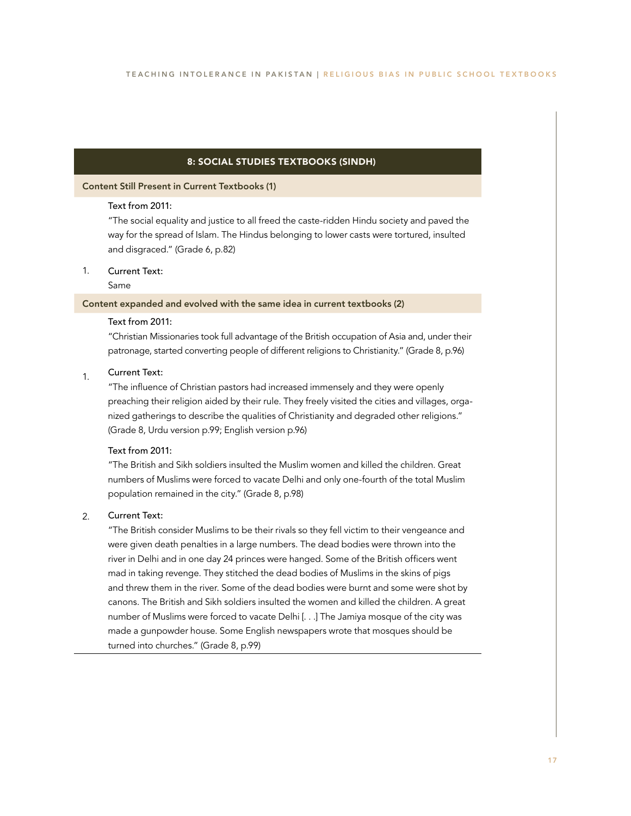### 8: SOCIAL STUDIES TEXTBOOKS (SINDH)

### Content Still Present in Current Textbooks (1)

### Text from 2011:

"The social equality and justice to all freed the caste-ridden Hindu society and paved the way for the spread of Islam. The Hindus belonging to lower casts were tortured, insulted and disgraced." (Grade 6, p.82)

#### 1. Current Text:

### Same

### Content expanded and evolved with the same idea in current textbooks (2)

### Text from 2011:

"Christian Missionaries took full advantage of the British occupation of Asia and, under their patronage, started converting people of different religions to Christianity." (Grade 8, p.96)

#### 1. Current Text:

"The influence of Christian pastors had increased immensely and they were openly preaching their religion aided by their rule. They freely visited the cities and villages, organized gatherings to describe the qualities of Christianity and degraded other religions." (Grade 8, Urdu version p.99; English version p.96)

### Text from 2011:

"The British and Sikh soldiers insulted the Muslim women and killed the children. Great numbers of Muslims were forced to vacate Delhi and only one-fourth of the total Muslim population remained in the city." (Grade 8, p.98)

#### 2. Current Text:

"The British consider Muslims to be their rivals so they fell victim to their vengeance and were given death penalties in a large numbers. The dead bodies were thrown into the river in Delhi and in one day 24 princes were hanged. Some of the British officers went mad in taking revenge. They stitched the dead bodies of Muslims in the skins of pigs and threw them in the river. Some of the dead bodies were burnt and some were shot by canons. The British and Sikh soldiers insulted the women and killed the children. A great number of Muslims were forced to vacate Delhi [. . .] The Jamiya mosque of the city was made a gunpowder house. Some English newspapers wrote that mosques should be turned into churches." (Grade 8, p.99)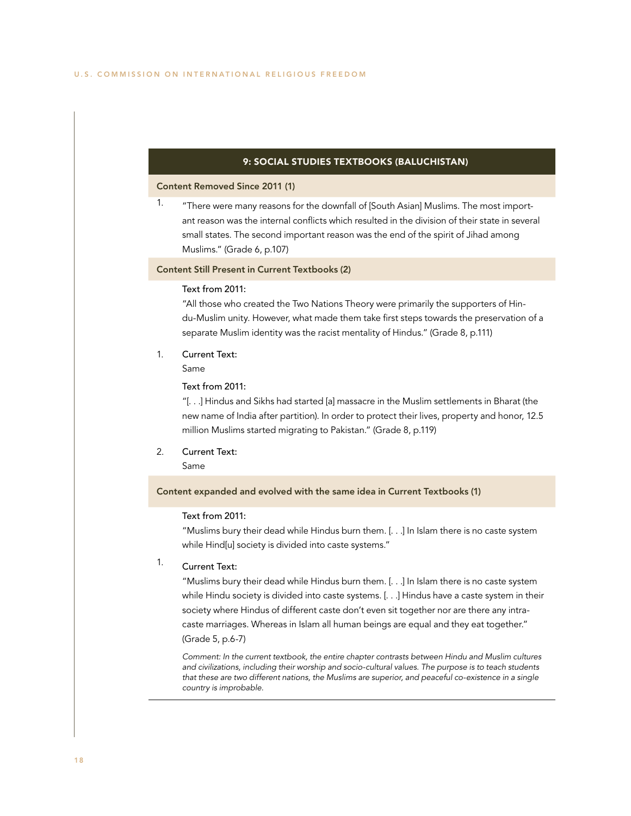### 9: SOCIAL STUDIES TEXTBOOKS (BALUCHISTAN)

### Content Removed Since 2011 (1)

1. "There were many reasons for the downfall of [South Asian] Muslims. The most important reason was the internal conflicts which resulted in the division of their state in several small states. The second important reason was the end of the spirit of Jihad among Muslims." (Grade 6, p.107)

### Content Still Present in Current Textbooks (2)

### Text from 2011:

"All those who created the Two Nations Theory were primarily the supporters of Hindu-Muslim unity. However, what made them take first steps towards the preservation of a separate Muslim identity was the racist mentality of Hindus." (Grade 8, p.111)

- 1. Current Text:
	- Same

### Text from 2011:

"[. . .] Hindus and Sikhs had started [a] massacre in the Muslim settlements in Bharat (the new name of India after partition). In order to protect their lives, property and honor, 12.5 million Muslims started migrating to Pakistan." (Grade 8, p.119)

2. Current Text:

Same

### Content expanded and evolved with the same idea in Current Textbooks (1)

### Text from 2011:

"Muslims bury their dead while Hindus burn them. [. . .] In Islam there is no caste system while Hind[u] society is divided into caste systems."

#### 1. Current Text:

"Muslims bury their dead while Hindus burn them. [. . .] In Islam there is no caste system while Hindu society is divided into caste systems. [. . .] Hindus have a caste system in their society where Hindus of different caste don't even sit together nor are there any intracaste marriages. Whereas in Islam all human beings are equal and they eat together." (Grade 5, p.6-7)

*Comment: In the current textbook, the entire chapter contrasts between Hindu and Muslim cultures and civilizations, including their worship and socio-cultural values. The purpose is to teach students that these are two different nations, the Muslims are superior, and peaceful co-existence in a single country is improbable.*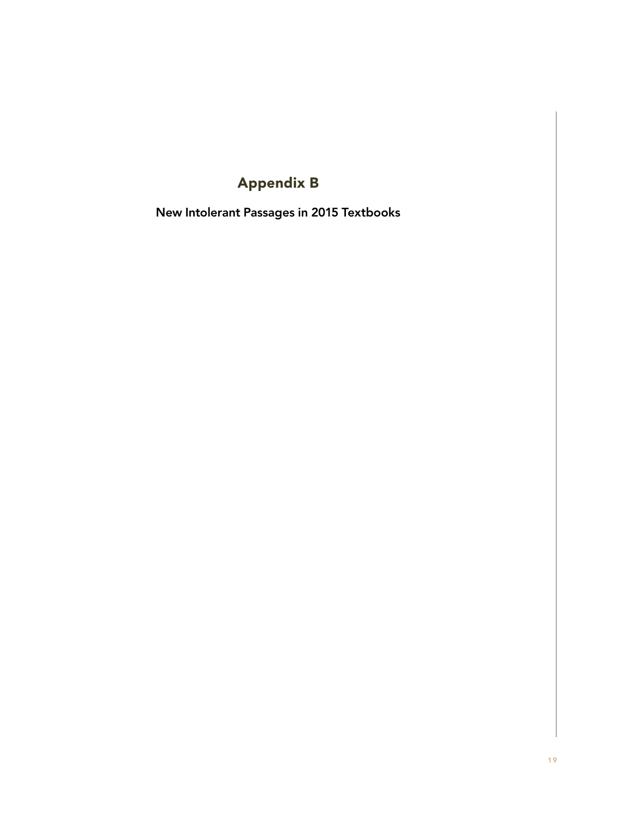# Appendix B

New Intolerant Passages in 2015 Textbooks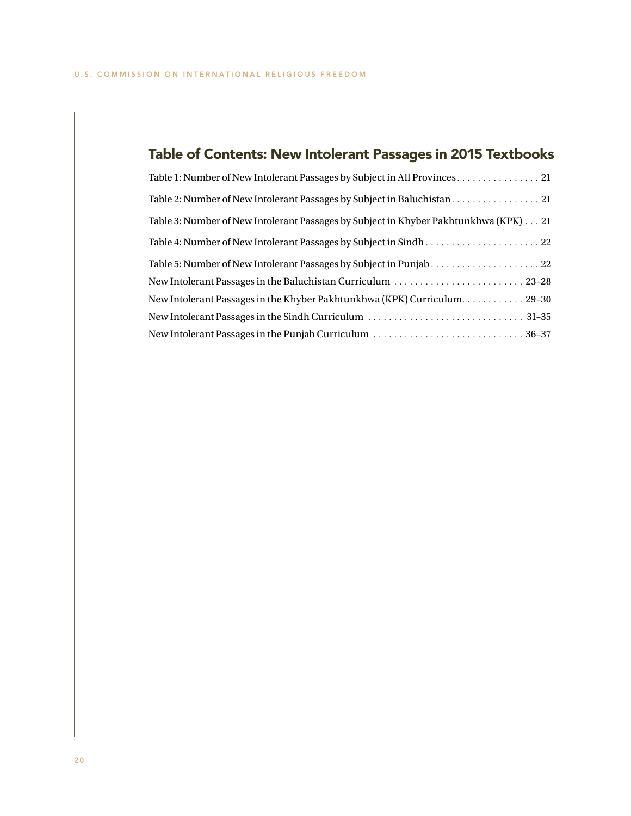# Table of Contents: New Intolerant Passages in 2015 Textbooks

| Table 1: Number of New Intolerant Passages by Subject in All Provinces. 21           |
|--------------------------------------------------------------------------------------|
|                                                                                      |
| Table 3: Number of New Intolerant Passages by Subject in Khyber Pakhtunkhwa (KPK) 21 |
|                                                                                      |
|                                                                                      |
|                                                                                      |
|                                                                                      |
|                                                                                      |
|                                                                                      |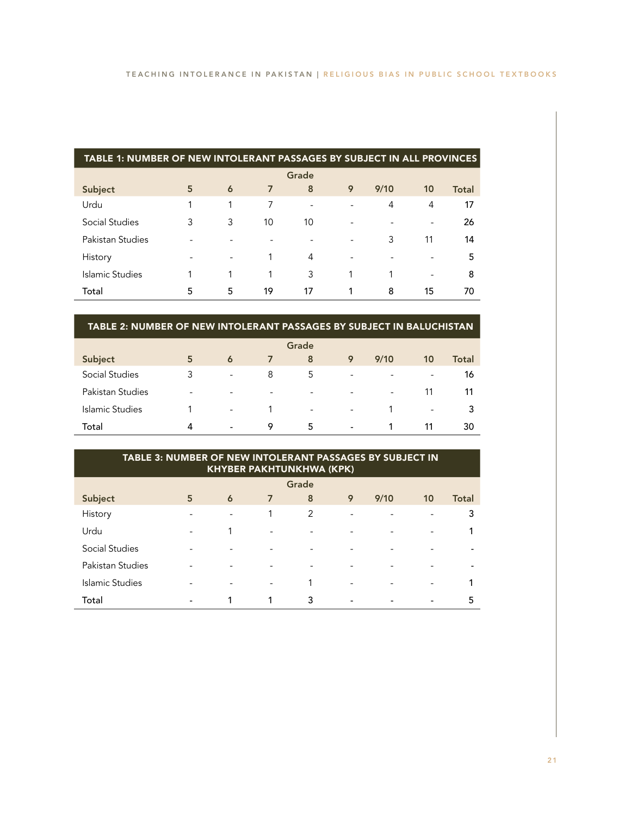| TABLE 1: NUMBER OF NEW INTOLERANT PASSAGES BY SUBJECT IN ALL PROVINCES |   |                          |                |    |   |      |    |       |  |  |
|------------------------------------------------------------------------|---|--------------------------|----------------|----|---|------|----|-------|--|--|
| Grade                                                                  |   |                          |                |    |   |      |    |       |  |  |
| Subject                                                                | 5 | 6                        | $\overline{7}$ | 8  | 9 | 9/10 | 10 | Total |  |  |
| Urdu                                                                   |   |                          | 7              |    |   | 4    | 4  | 17    |  |  |
| Social Studies                                                         | 3 | 3                        | 10             | 10 |   |      |    | 26    |  |  |
| Pakistan Studies                                                       |   |                          |                |    |   | 3    | 11 | 14    |  |  |
| History                                                                |   | $\overline{\phantom{a}}$ |                | 4  |   |      |    | 5     |  |  |
| Islamic Studies                                                        |   |                          | 1              | 3  |   | 1    | ۰  | 8     |  |  |
| Total                                                                  | 5 | 5                        | 19             | 17 |   | 8    | 15 | 70    |  |  |

### TABLE 2: NUMBER OF NEW INTOLERANT PASSAGES BY SUBJECT IN BALUCHISTAN

|                  |   |                          |   | Grade                    |                          |                          |                          |       |
|------------------|---|--------------------------|---|--------------------------|--------------------------|--------------------------|--------------------------|-------|
| Subject          | 5 | 6                        | 7 | 8                        | 9                        | 9/10                     | 10                       | Total |
| Social Studies   | 3 | $\overline{\phantom{a}}$ | 8 | 5                        | $\overline{\phantom{a}}$ | $\overline{\phantom{0}}$ | $\overline{\phantom{a}}$ | 16    |
| Pakistan Studies | - | $\overline{\phantom{a}}$ | ۰ | $\overline{\phantom{a}}$ | $\overline{\phantom{a}}$ | $\overline{\phantom{a}}$ | 11                       | 11    |
| Islamic Studies  |   | $\overline{\phantom{a}}$ |   | -                        | $\overline{\phantom{a}}$ |                          | $\overline{\phantom{a}}$ | 3     |
| Total            | 4 | $\overline{\phantom{a}}$ | 9 | 5                        | $\overline{\phantom{a}}$ |                          | 11                       | 30    |

| TABLE 3: NUMBER OF NEW INTOLERANT PASSAGES BY SUBJECT IN<br><b>KHYBER PAKHTUNKHWA (KPK)</b> |   |   |   |   |                          |      |                          |              |  |  |
|---------------------------------------------------------------------------------------------|---|---|---|---|--------------------------|------|--------------------------|--------------|--|--|
| Grade                                                                                       |   |   |   |   |                          |      |                          |              |  |  |
| Subject                                                                                     | 5 | 6 | 7 | 8 | 9                        | 9/10 | 10                       | <b>Total</b> |  |  |
| History                                                                                     |   |   |   | 2 | ۰                        |      |                          | 3            |  |  |
| Urdu                                                                                        |   |   |   |   |                          |      | $\overline{\phantom{0}}$ | 1            |  |  |
| <b>Social Studies</b>                                                                       |   |   |   |   |                          |      |                          |              |  |  |
| Pakistan Studies                                                                            |   |   |   |   | $\overline{\phantom{a}}$ |      |                          |              |  |  |
| Islamic Studies                                                                             |   |   |   | 1 | ۰                        |      |                          |              |  |  |
| Total                                                                                       |   |   |   | 3 |                          |      |                          | 5            |  |  |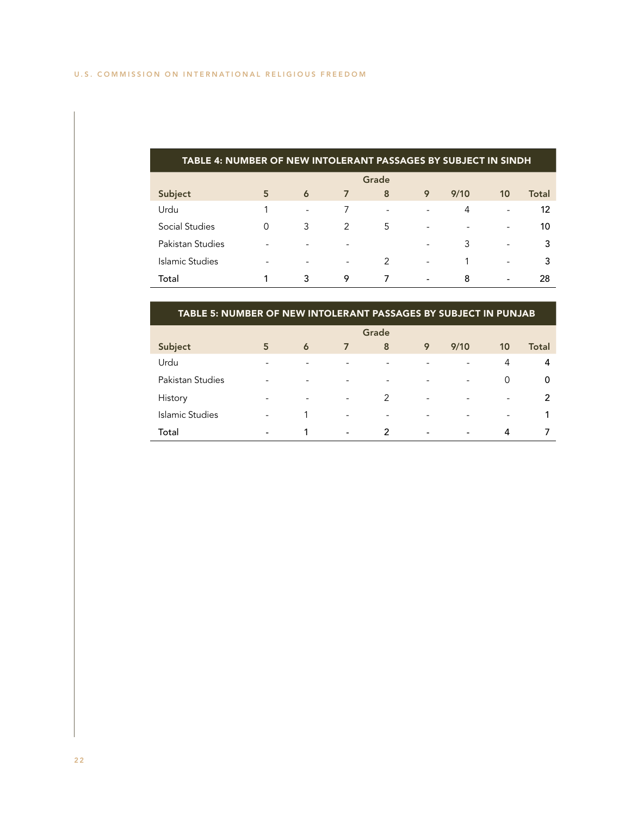| TABLE 4: NUMBER OF NEW INTOLERANT PASSAGES BY SUBJECT IN SINDH |   |                          |                          |                          |                          |                          |                          |       |  |
|----------------------------------------------------------------|---|--------------------------|--------------------------|--------------------------|--------------------------|--------------------------|--------------------------|-------|--|
| Grade                                                          |   |                          |                          |                          |                          |                          |                          |       |  |
| Subject                                                        | 5 | 6                        | $\overline{7}$           | 8                        | 9                        | 9/10                     | 10                       | Total |  |
| Urdu                                                           |   | $\overline{\phantom{a}}$ |                          | $\overline{\phantom{a}}$ |                          | 4                        | ۰                        | 12    |  |
| Social Studies                                                 |   | 3                        | 2                        | 5                        | $\overline{\phantom{0}}$ | $\overline{\phantom{0}}$ |                          | 10    |  |
| Pakistan Studies                                               |   |                          |                          |                          | $\overline{\phantom{0}}$ | 3                        | ۰                        | 3     |  |
| Islamic Studies                                                |   |                          | $\overline{\phantom{0}}$ | $\mathcal{P}$            | $\overline{\phantom{a}}$ |                          | ۰                        | 3     |  |
| Total                                                          |   | 3                        | 9                        | 7                        | $\overline{\phantom{a}}$ | 8                        | $\overline{\phantom{a}}$ | 28    |  |

| TABLE 5: NUMBER OF NEW INTOLERANT PASSAGES BY SUBJECT IN PUNJAB |  |
|-----------------------------------------------------------------|--|
|                                                                 |  |

|                        |                          |                          |                          | Grade                    |                          |                          |                          |              |
|------------------------|--------------------------|--------------------------|--------------------------|--------------------------|--------------------------|--------------------------|--------------------------|--------------|
| Subject                | 5                        | $\ddot{\mathbf{6}}$      | $\overline{7}$           | 8                        | 9                        | 9/10                     | 10                       | <b>Total</b> |
| Urdu                   | -                        | ۰                        | ۰                        | $\overline{\phantom{a}}$ | $\overline{\phantom{a}}$ | $\overline{\phantom{a}}$ | 4                        | 4            |
| Pakistan Studies       | -                        | ۰                        | ۰                        | $\overline{\phantom{a}}$ | $\overline{\phantom{a}}$ | $\overline{\phantom{a}}$ | 0                        | 0            |
| History                | -                        | $\overline{\phantom{a}}$ | $\overline{\phantom{a}}$ | 2                        | $\overline{\phantom{a}}$ | $\overline{\phantom{a}}$ | $\overline{\phantom{a}}$ | 2            |
| <b>Islamic Studies</b> | $\overline{\phantom{a}}$ |                          | $\overline{\phantom{a}}$ | $\overline{\phantom{a}}$ | $\overline{\phantom{a}}$ | $\overline{\phantom{0}}$ | $\overline{\phantom{a}}$ |              |
| Total                  | -                        |                          | $\overline{\phantom{a}}$ | $\mathcal{P}$            | $\overline{\phantom{a}}$ | $\overline{\phantom{a}}$ | 4                        |              |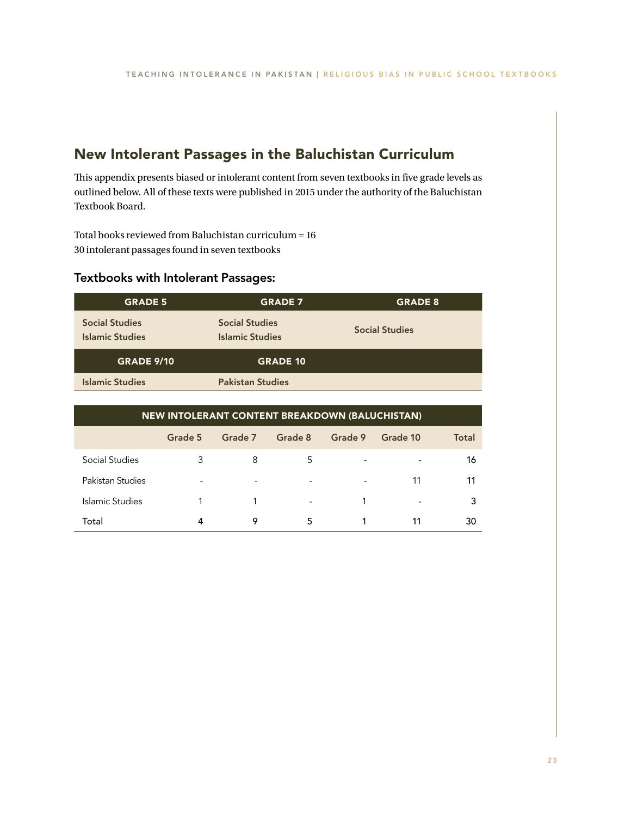## New Intolerant Passages in the Baluchistan Curriculum

This appendix presents biased or intolerant content from seven textbooks in five grade levels as outlined below. All of these texts were published in 2015 under the authority of the Baluchistan Textbook Board.

Total books reviewed from Baluchistan curriculum = 16 30 intolerant passages found in seven textbooks

### Textbooks with Intolerant Passages:

| <b>GRADE 5</b>                                  | <b>GRADE 7</b>                                  | <b>GRADE 8</b>        |
|-------------------------------------------------|-------------------------------------------------|-----------------------|
| <b>Social Studies</b><br><b>Islamic Studies</b> | <b>Social Studies</b><br><b>Islamic Studies</b> | <b>Social Studies</b> |
| <b>GRADE 9/10</b>                               | <b>GRADE 10</b>                                 |                       |
| <b>Islamic Studies</b>                          | <b>Pakistan Studies</b>                         |                       |

| NEW INTOLERANT CONTENT BREAKDOWN (BALUCHISTAN) |                          |                          |                          |         |                          |       |  |  |  |
|------------------------------------------------|--------------------------|--------------------------|--------------------------|---------|--------------------------|-------|--|--|--|
|                                                | Grade 5                  | Grade 7                  | Grade 8                  | Grade 9 | Grade 10                 | Total |  |  |  |
| Social Studies                                 | 3                        | 8                        | 5                        | ٠       |                          | 16    |  |  |  |
| Pakistan Studies                               | $\overline{\phantom{a}}$ | $\overline{\phantom{a}}$ | $\overline{\phantom{a}}$ |         | 11                       | 11    |  |  |  |
| Islamic Studies                                |                          |                          | $\overline{\phantom{a}}$ |         | $\overline{\phantom{0}}$ | 3     |  |  |  |
| Total                                          | 4                        | 9                        | 5                        |         | 11                       | 30    |  |  |  |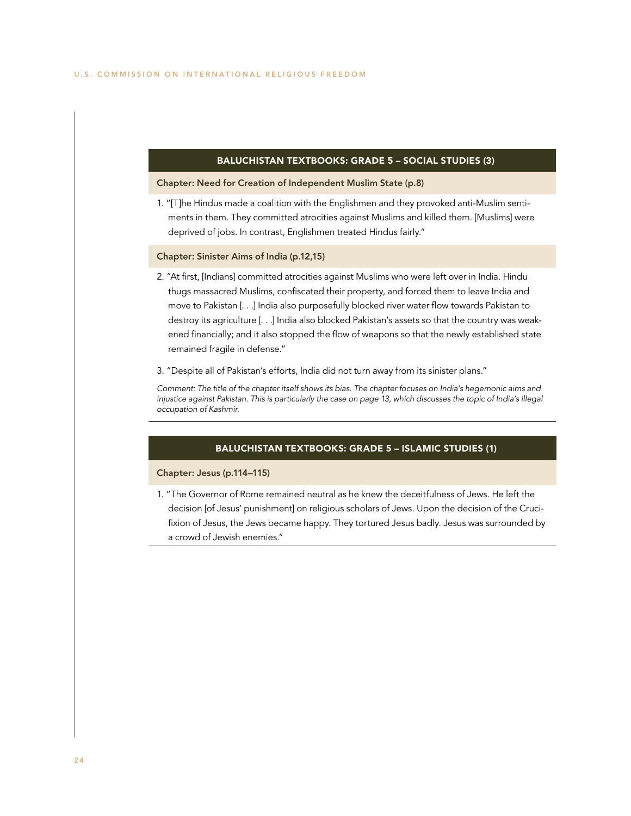### BALUCHISTAN TEXTBOOKS: GRADE 5 – SOCIAL STUDIES (3)

### Chapter: Need for Creation of Independent Muslim State (p.8)

1. "[T]he Hindus made a coalition with the Englishmen and they provoked anti-Muslim sentiments in them. They committed atrocities against Muslims and killed them. [Muslims] were deprived of jobs. In contrast, Englishmen treated Hindus fairly."

### Chapter: Sinister Aims of India (p.12,15)

- 2. "At first, [Indians] committed atrocities against Muslims who were left over in India. Hindu thugs massacred Muslims, confiscated their property, and forced them to leave India and move to Pakistan [. . .] India also purposefully blocked river water flow towards Pakistan to destroy its agriculture [. . .] India also blocked Pakistan's assets so that the country was weakened financially; and it also stopped the flow of weapons so that the newly established state remained fragile in defense."
- 3. "Despite all of Pakistan's efforts, India did not turn away from its sinister plans."

*Comment: The title of the chapter itself shows its bias. The chapter focuses on India's hegemonic aims and injustice against Pakistan. This is particularly the case on page 13, which discusses the topic of India's illegal occupation of Kashmir.*

### BALUCHISTAN TEXTBOOKS: GRADE 5 – ISLAMIC STUDIES (1)

### Chapter: Jesus (p.114–115)

1. "The Governor of Rome remained neutral as he knew the deceitfulness of Jews. He left the decision [of Jesus' punishment] on religious scholars of Jews. Upon the decision of the Crucifixion of Jesus, the Jews became happy. They tortured Jesus badly. Jesus was surrounded by a crowd of Jewish enemies."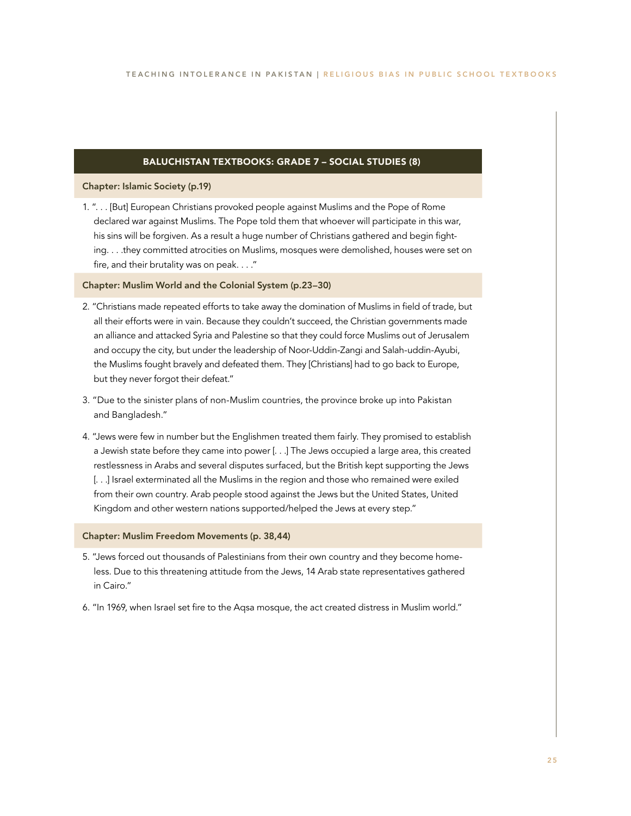### BALUCHISTAN TEXTBOOKS: GRADE 7 – SOCIAL STUDIES (8)

### Chapter: Islamic Society (p.19)

1. ". . . [But] European Christians provoked people against Muslims and the Pope of Rome declared war against Muslims. The Pope told them that whoever will participate in this war, his sins will be forgiven. As a result a huge number of Christians gathered and begin fighting. . . .they committed atrocities on Muslims, mosques were demolished, houses were set on fire, and their brutality was on peak. . . ."

### Chapter: Muslim World and the Colonial System (p.23–30)

- 2. "Christians made repeated efforts to take away the domination of Muslims in field of trade, but all their efforts were in vain. Because they couldn't succeed, the Christian governments made an alliance and attacked Syria and Palestine so that they could force Muslims out of Jerusalem and occupy the city, but under the leadership of Noor-Uddin-Zangi and Salah-uddin-Ayubi, the Muslims fought bravely and defeated them. They [Christians] had to go back to Europe, but they never forgot their defeat."
- 3. "Due to the sinister plans of non-Muslim countries, the province broke up into Pakistan and Bangladesh."
- 4. "Jews were few in number but the Englishmen treated them fairly. They promised to establish a Jewish state before they came into power [. . .] The Jews occupied a large area, this created restlessness in Arabs and several disputes surfaced, but the British kept supporting the Jews [. . .] Israel exterminated all the Muslims in the region and those who remained were exiled from their own country. Arab people stood against the Jews but the United States, United Kingdom and other western nations supported/helped the Jews at every step."

### Chapter: Muslim Freedom Movements (p. 38,44)

- 5. "Jews forced out thousands of Palestinians from their own country and they become homeless. Due to this threatening attitude from the Jews, 14 Arab state representatives gathered in Cairo."
- 6. "In 1969, when Israel set fire to the Aqsa mosque, the act created distress in Muslim world."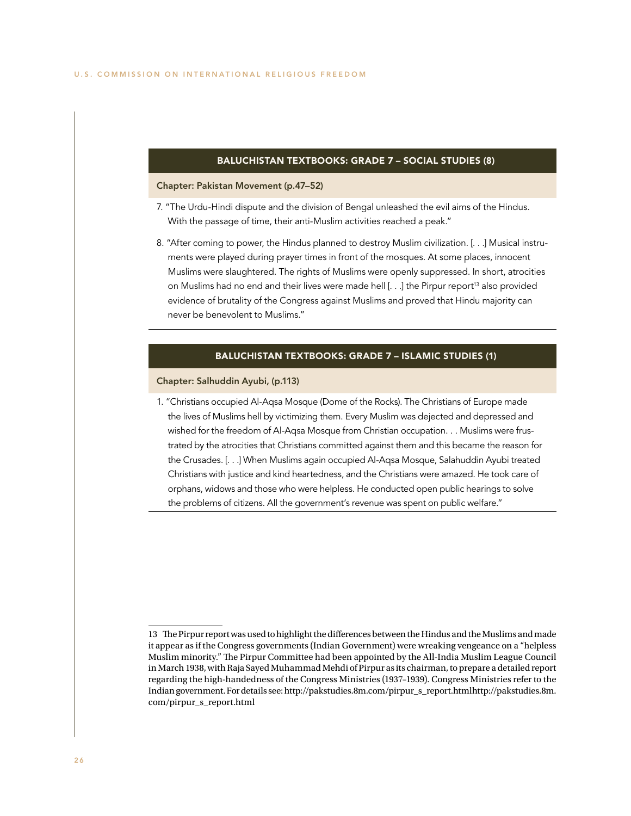### BALUCHISTAN TEXTBOOKS: GRADE 7 – SOCIAL STUDIES (8)

### Chapter: Pakistan Movement (p.47–52)

- 7. "The Urdu-Hindi dispute and the division of Bengal unleashed the evil aims of the Hindus. With the passage of time, their anti-Muslim activities reached a peak."
- 8. "After coming to power, the Hindus planned to destroy Muslim civilization. [. . .] Musical instruments were played during prayer times in front of the mosques. At some places, innocent Muslims were slaughtered. The rights of Muslims were openly suppressed. In short, atrocities on Muslims had no end and their lives were made hell [...] the Pirpur report<sup>13</sup> also provided evidence of brutality of the Congress against Muslims and proved that Hindu majority can never be benevolent to Muslims."

### BALUCHISTAN TEXTBOOKS: GRADE 7 – ISLAMIC STUDIES (1)

### Chapter: Salhuddin Ayubi, (p.113)

1. "Christians occupied Al-Aqsa Mosque (Dome of the Rocks). The Christians of Europe made the lives of Muslims hell by victimizing them. Every Muslim was dejected and depressed and wished for the freedom of Al-Aqsa Mosque from Christian occupation. . . Muslims were frustrated by the atrocities that Christians committed against them and this became the reason for the Crusades. [. . .] When Muslims again occupied Al-Aqsa Mosque, Salahuddin Ayubi treated Christians with justice and kind heartedness, and the Christians were amazed. He took care of orphans, widows and those who were helpless. He conducted open public hearings to solve the problems of citizens. All the government's revenue was spent on public welfare."

<sup>13</sup> The Pirpur report was used to highlight the differences between the Hindus and the Muslims and made it appear as if the Congress governments (Indian Government) were wreaking vengeance on a "helpless Muslim minority." The Pirpur Committee had been appointed by the All-India Muslim League Council in March 1938, with Raja Sayed Muhammad Mehdi of Pirpur as its chairman, to prepare a detailed report regarding the high-handedness of the Congress Ministries (1937–1939). Congress Ministries refer to the Indian government. For details see: http://pakstudies.8m.com/pirpur\_s\_report.htmlhttp://pakstudies.8m. com/pirpur\_s\_report.html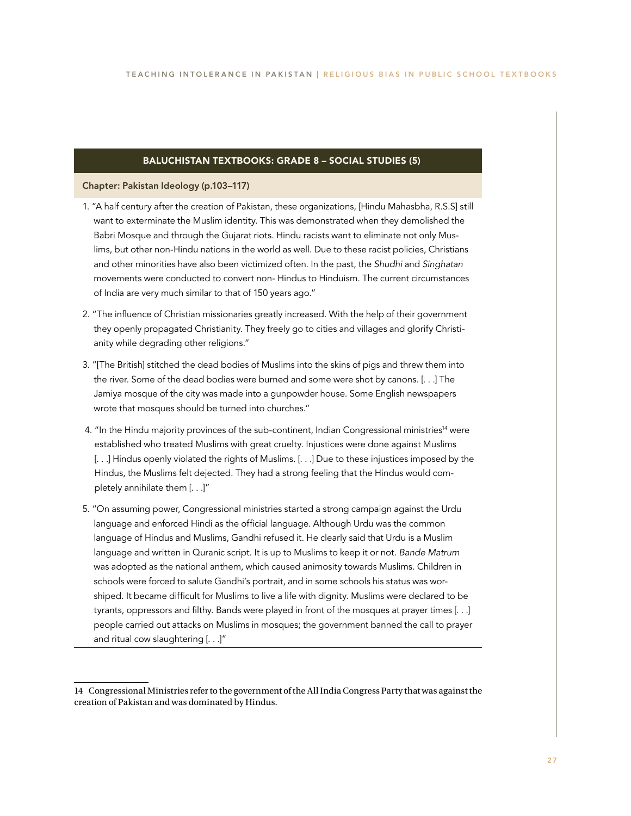### BALUCHISTAN TEXTBOOKS: GRADE 8 – SOCIAL STUDIES (5)

### Chapter: Pakistan Ideology (p.103–117)

- 1. "A half century after the creation of Pakistan, these organizations, [Hindu Mahasbha, R.S.S] still want to exterminate the Muslim identity. This was demonstrated when they demolished the Babri Mosque and through the Gujarat riots. Hindu racists want to eliminate not only Muslims, but other non-Hindu nations in the world as well. Due to these racist policies, Christians and other minorities have also been victimized often. In the past, the *Shudhi* and *Singhatan* movements were conducted to convert non- Hindus to Hinduism. The current circumstances of India are very much similar to that of 150 years ago."
- 2. "The influence of Christian missionaries greatly increased. With the help of their government they openly propagated Christianity. They freely go to cities and villages and glorify Christianity while degrading other religions."
- 3. "[The British] stitched the dead bodies of Muslims into the skins of pigs and threw them into the river. Some of the dead bodies were burned and some were shot by canons. [. . .] The Jamiya mosque of the city was made into a gunpowder house. Some English newspapers wrote that mosques should be turned into churches."
- 4. "In the Hindu majority provinces of the sub-continent, Indian Congressional ministries<sup>14</sup> were established who treated Muslims with great cruelty. Injustices were done against Muslims [. . .] Hindus openly violated the rights of Muslims. [. . .] Due to these injustices imposed by the Hindus, the Muslims felt dejected. They had a strong feeling that the Hindus would completely annihilate them [. . .]"
- 5. "On assuming power, Congressional ministries started a strong campaign against the Urdu language and enforced Hindi as the official language. Although Urdu was the common language of Hindus and Muslims, Gandhi refused it. He clearly said that Urdu is a Muslim language and written in Quranic script. It is up to Muslims to keep it or not. *Bande Matrum* was adopted as the national anthem, which caused animosity towards Muslims. Children in schools were forced to salute Gandhi's portrait, and in some schools his status was worshiped. It became difficult for Muslims to live a life with dignity. Muslims were declared to be tyrants, oppressors and filthy. Bands were played in front of the mosques at prayer times [. . .] people carried out attacks on Muslims in mosques; the government banned the call to prayer and ritual cow slaughtering [. . .]"

<sup>14</sup> Congressional Ministries refer to the government of the All India Congress Party that was against the creation of Pakistan and was dominated by Hindus.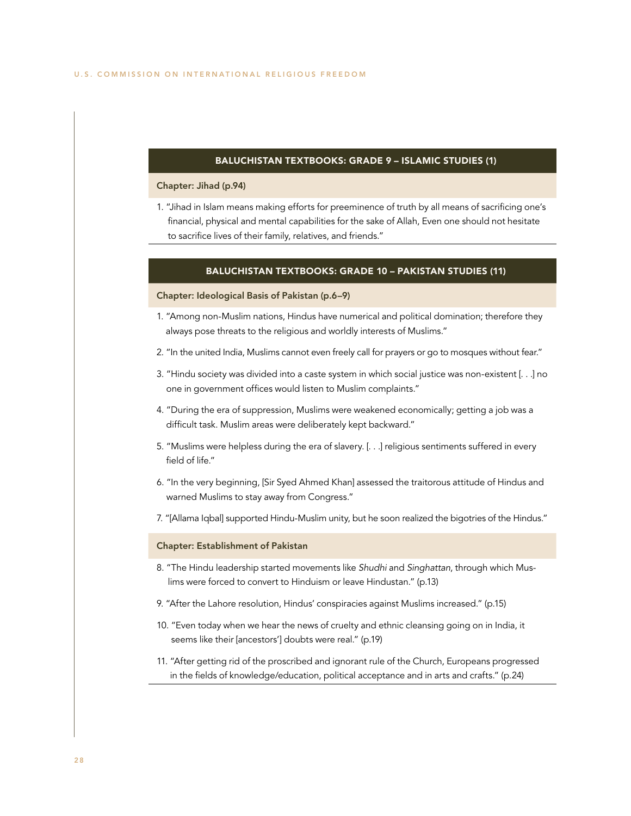### BALUCHISTAN TEXTBOOKS: GRADE 9 – ISLAMIC STUDIES (1)

### Chapter: Jihad (p.94)

1. "Jihad in Islam means making efforts for preeminence of truth by all means of sacrificing one's financial, physical and mental capabilities for the sake of Allah, Even one should not hesitate to sacrifice lives of their family, relatives, and friends."

### BALUCHISTAN TEXTBOOKS: GRADE 10 – PAKISTAN STUDIES (11)

#### Chapter: Ideological Basis of Pakistan (p.6–9)

- 1. "Among non-Muslim nations, Hindus have numerical and political domination; therefore they always pose threats to the religious and worldly interests of Muslims."
- 2. "In the united India, Muslims cannot even freely call for prayers or go to mosques without fear."
- 3. "Hindu society was divided into a caste system in which social justice was non-existent [. . .] no one in government offices would listen to Muslim complaints."
- 4. "During the era of suppression, Muslims were weakened economically; getting a job was a difficult task. Muslim areas were deliberately kept backward."
- 5. "Muslims were helpless during the era of slavery. [. . .] religious sentiments suffered in every field of life."
- 6. "In the very beginning, [Sir Syed Ahmed Khan] assessed the traitorous attitude of Hindus and warned Muslims to stay away from Congress."
- 7. "[Allama Iqbal] supported Hindu-Muslim unity, but he soon realized the bigotries of the Hindus."

### Chapter: Establishment of Pakistan

- 8. "The Hindu leadership started movements like *Shudhi* and *Singhattan*, through which Muslims were forced to convert to Hinduism or leave Hindustan." (p.13)
- 9. "After the Lahore resolution, Hindus' conspiracies against Muslims increased." (p.15)
- 10. "Even today when we hear the news of cruelty and ethnic cleansing going on in India, it seems like their [ancestors'] doubts were real." (p.19)
- 11. "After getting rid of the proscribed and ignorant rule of the Church, Europeans progressed in the fields of knowledge/education, political acceptance and in arts and crafts." (p.24)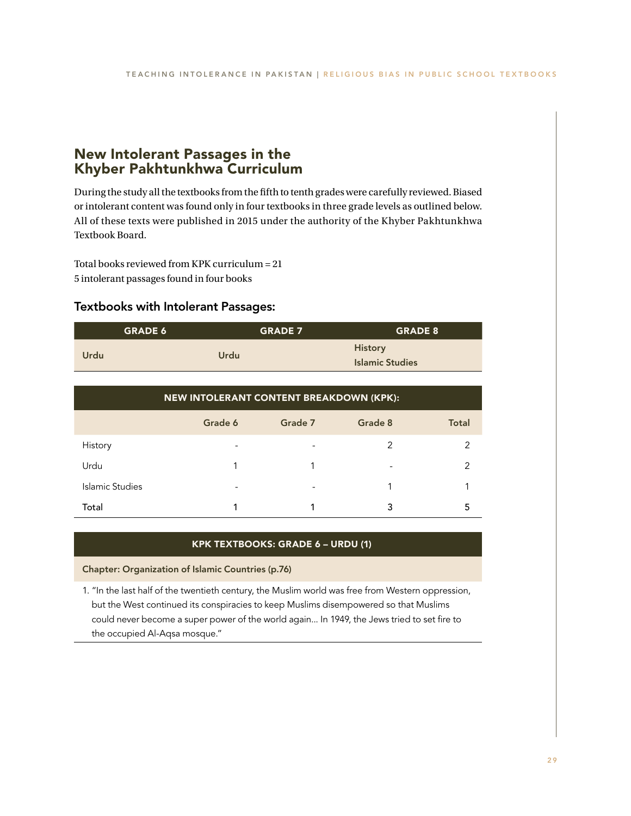## New Intolerant Passages in the Khyber Pakhtunkhwa Curriculum

During the study all the textbooks from the fifth to tenth grades were carefully reviewed. Biased or intolerant content was found only in four textbooks in three grade levels as outlined below. All of these texts were published in 2015 under the authority of the Khyber Pakhtunkhwa Textbook Board.

Total books reviewed from KPK curriculum = 21 5 intolerant passages found in four books

### Textbooks with Intolerant Passages:

| <b>GRADE 6</b>                          |             | <b>GRADE 7</b>                           |         | <b>GRADE 8</b> |  |
|-----------------------------------------|-------------|------------------------------------------|---------|----------------|--|
| Urdu                                    | <b>Urdu</b> | <b>History</b><br><b>Islamic Studies</b> |         |                |  |
| NEW INTOLERANT CONTENT BREAKDOWN (KPK): |             |                                          |         |                |  |
|                                         | Grade 6     | Grade 7                                  | Grade 8 | <b>Total</b>   |  |
| History                                 |             |                                          | 2       | $\mathcal{P}$  |  |
| Urdu                                    | 1           | 1                                        |         | $\mathcal{P}$  |  |
| Islamic Studies                         |             |                                          | 1       |                |  |
| Total                                   |             |                                          | 3       | 5              |  |

### KPK TEXTBOOKS: GRADE 6 – URDU (1)

Chapter: Organization of Islamic Countries (p.76)

1. "In the last half of the twentieth century, the Muslim world was free from Western oppression, but the West continued its conspiracies to keep Muslims disempowered so that Muslims could never become a super power of the world again... In 1949, the Jews tried to set fire to the occupied Al-Aqsa mosque."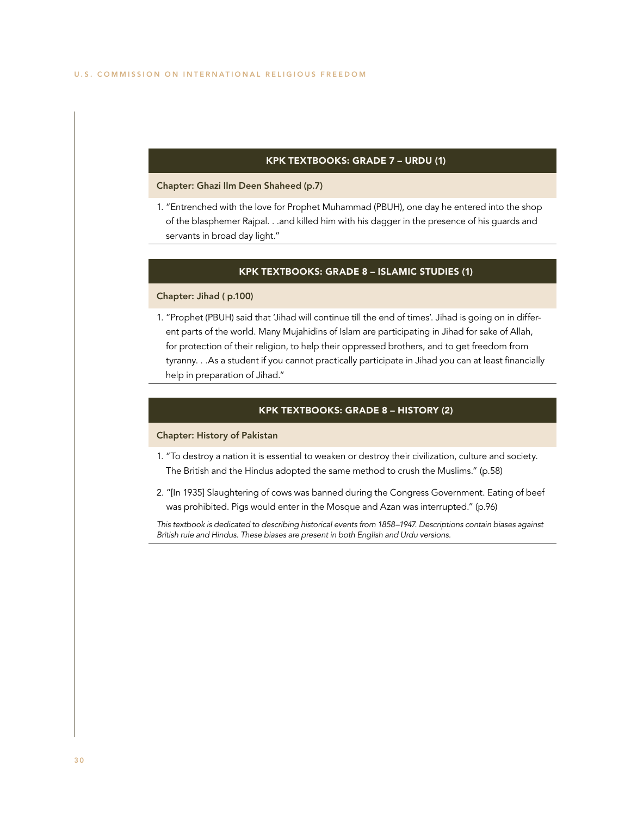### KPK TEXTBOOKS: GRADE 7 – URDU (1)

### Chapter: Ghazi Ilm Deen Shaheed (p.7)

1. "Entrenched with the love for Prophet Muhammad (PBUH), one day he entered into the shop of the blasphemer Rajpal. . .and killed him with his dagger in the presence of his guards and servants in broad day light."

### KPK TEXTBOOKS: GRADE 8 – ISLAMIC STUDIES (1)

### Chapter: Jihad ( p.100)

1. "Prophet (PBUH) said that 'Jihad will continue till the end of times'. Jihad is going on in different parts of the world. Many Mujahidins of Islam are participating in Jihad for sake of Allah, for protection of their religion, to help their oppressed brothers, and to get freedom from tyranny. . .As a student if you cannot practically participate in Jihad you can at least financially help in preparation of Jihad."

### KPK TEXTBOOKS: GRADE 8 – HISTORY (2)

### Chapter: History of Pakistan

- 1. "To destroy a nation it is essential to weaken or destroy their civilization, culture and society. The British and the Hindus adopted the same method to crush the Muslims." (p.58)
- 2. "[In 1935] Slaughtering of cows was banned during the Congress Government. Eating of beef was prohibited. Pigs would enter in the Mosque and Azan was interrupted." (p.96)

*This textbook is dedicated to describing historical events from 1858–1947. Descriptions contain biases against British rule and Hindus. These biases are present in both English and Urdu versions.*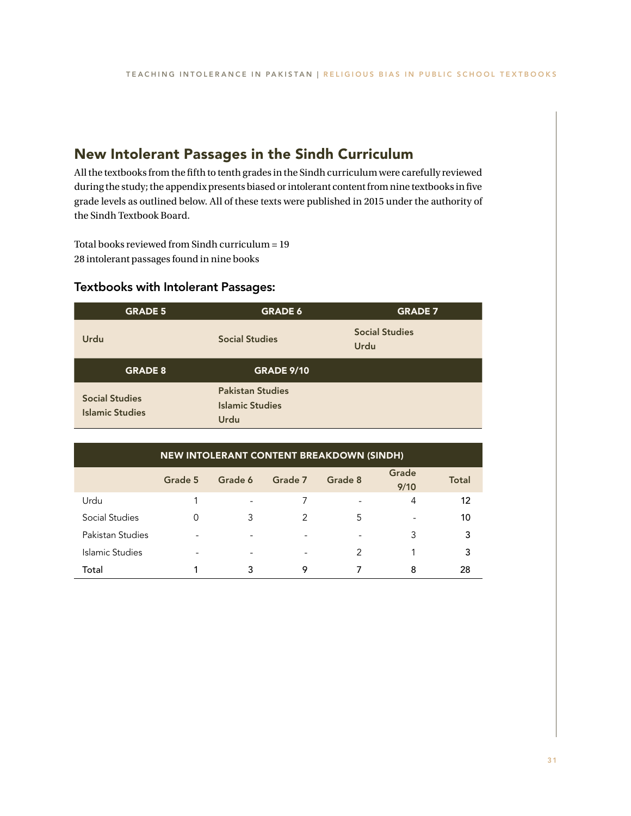## New Intolerant Passages in the Sindh Curriculum

All the textbooks from the fifth to tenth grades in the Sindh curriculum were carefully reviewed during the study; the appendix presents biased or intolerant content from nine textbooks in five grade levels as outlined below. All of these texts were published in 2015 under the authority of the Sindh Textbook Board.

Total books reviewed from Sindh curriculum = 19 28 intolerant passages found in nine books

### Textbooks with Intolerant Passages:

| <b>GRADE 5</b>                                  | <b>GRADE 6</b>                                            | <b>GRADE 7</b>                       |
|-------------------------------------------------|-----------------------------------------------------------|--------------------------------------|
| Urdu                                            | <b>Social Studies</b>                                     | <b>Social Studies</b><br><b>Urdu</b> |
| <b>GRADE 8</b>                                  | <b>GRADE 9/10</b>                                         |                                      |
| <b>Social Studies</b><br><b>Islamic Studies</b> | <b>Pakistan Studies</b><br><b>Islamic Studies</b><br>Urdu |                                      |

| <b>NEW INTOLERANT CONTENT BREAKDOWN (SINDH)</b> |         |                          |         |                |                          |              |
|-------------------------------------------------|---------|--------------------------|---------|----------------|--------------------------|--------------|
|                                                 | Grade 5 | Grade 6                  | Grade 7 | Grade 8        | Grade<br>9/10            | <b>Total</b> |
| Urdu                                            |         | $\overline{\phantom{a}}$ |         |                | 4                        | 12           |
| Social Studies                                  | 0       | 3                        | 2       | 5              | $\overline{\phantom{0}}$ | 10           |
| Pakistan Studies                                |         |                          |         | $\overline{a}$ | 3                        | 3            |
| Islamic Studies                                 |         |                          |         | 2              |                          | 3            |
| Total                                           |         | 3                        | 9       |                | 8                        | 28           |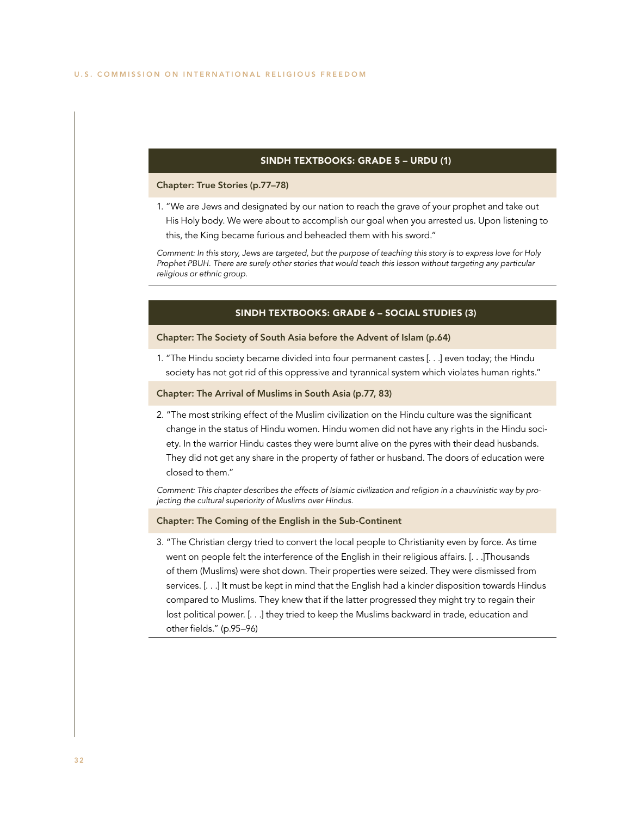### SINDH TEXTBOOKS: GRADE 5 – URDU (1)

### Chapter: True Stories (p.77–78)

1. "We are Jews and designated by our nation to reach the grave of your prophet and take out

His Holy body. We were about to accomplish our goal when you arrested us. Upon listening to this, the King became furious and beheaded them with his sword."

*Comment: In this story, Jews are targeted, but the purpose of teaching this story is to express love for Holy Prophet PBUH. There are surely other stories that would teach this lesson without targeting any particular religious or ethnic group.*

### SINDH TEXTBOOKS: GRADE 6 – SOCIAL STUDIES (3)

### Chapter: The Society of South Asia before the Advent of Islam (p.64)

1. "The Hindu society became divided into four permanent castes [. . .] even today; the Hindu society has not got rid of this oppressive and tyrannical system which violates human rights."

### Chapter: The Arrival of Muslims in South Asia (p.77, 83)

2. "The most striking effect of the Muslim civilization on the Hindu culture was the significant change in the status of Hindu women. Hindu women did not have any rights in the Hindu society. In the warrior Hindu castes they were burnt alive on the pyres with their dead husbands. They did not get any share in the property of father or husband. The doors of education were closed to them."

*Comment: This chapter describes the effects of Islamic civilization and religion in a chauvinistic way by projecting the cultural superiority of Muslims over Hindus.*

### Chapter: The Coming of the English in the Sub-Continent

3. "The Christian clergy tried to convert the local people to Christianity even by force. As time went on people felt the interference of the English in their religious affairs. [. . .]Thousands of them (Muslims) were shot down. Their properties were seized. They were dismissed from services. [. . .] It must be kept in mind that the English had a kinder disposition towards Hindus compared to Muslims. They knew that if the latter progressed they might try to regain their lost political power. [. . .] they tried to keep the Muslims backward in trade, education and other fields." (p.95–96)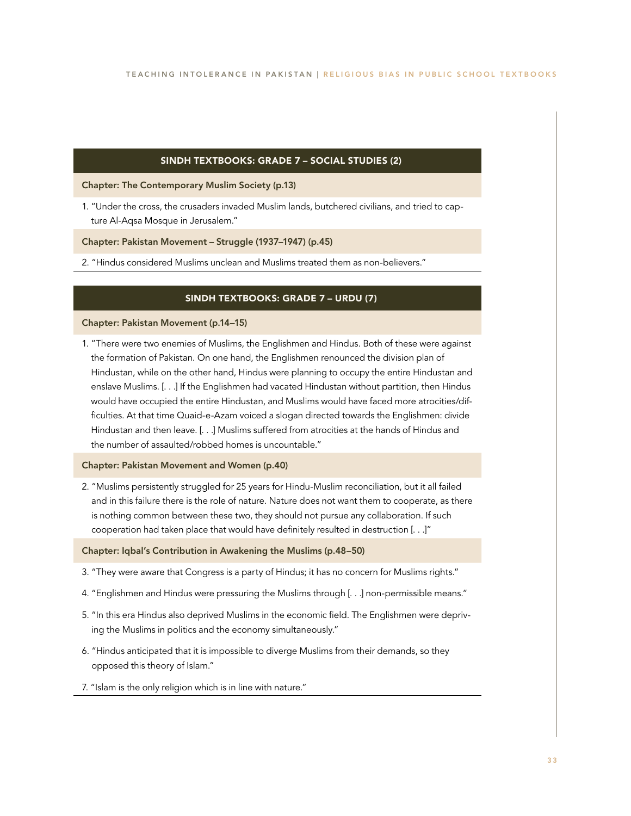### SINDH TEXTBOOKS: GRADE 7 – SOCIAL STUDIES (2)

Chapter: The Contemporary Muslim Society (p.13)

1. "Under the cross, the crusaders invaded Muslim lands, butchered civilians, and tried to capture Al-Aqsa Mosque in Jerusalem."

Chapter: Pakistan Movement – Struggle (1937–1947) (p.45)

2. "Hindus considered Muslims unclean and Muslims treated them as non-believers."

### SINDH TEXTBOOKS: GRADE 7 – URDU (7)

### Chapter: Pakistan Movement (p.14–15)

1. "There were two enemies of Muslims, the Englishmen and Hindus. Both of these were against the formation of Pakistan. On one hand, the Englishmen renounced the division plan of Hindustan, while on the other hand, Hindus were planning to occupy the entire Hindustan and enslave Muslims. [. . .] If the Englishmen had vacated Hindustan without partition, then Hindus would have occupied the entire Hindustan, and Muslims would have faced more atrocities/difficulties. At that time Quaid-e-Azam voiced a slogan directed towards the Englishmen: divide Hindustan and then leave. [. . .] Muslims suffered from atrocities at the hands of Hindus and the number of assaulted/robbed homes is uncountable."

### Chapter: Pakistan Movement and Women (p.40)

2. "Muslims persistently struggled for 25 years for Hindu-Muslim reconciliation, but it all failed and in this failure there is the role of nature. Nature does not want them to cooperate, as there is nothing common between these two, they should not pursue any collaboration. If such cooperation had taken place that would have definitely resulted in destruction [. . .]"

### Chapter: Iqbal's Contribution in Awakening the Muslims (p.48–50)

- 3. "They were aware that Congress is a party of Hindus; it has no concern for Muslims rights."
- 4. "Englishmen and Hindus were pressuring the Muslims through [. . .] non-permissible means."
- 5. "In this era Hindus also deprived Muslims in the economic field. The Englishmen were depriving the Muslims in politics and the economy simultaneously."
- 6. "Hindus anticipated that it is impossible to diverge Muslims from their demands, so they opposed this theory of Islam."
- 7. "Islam is the only religion which is in line with nature."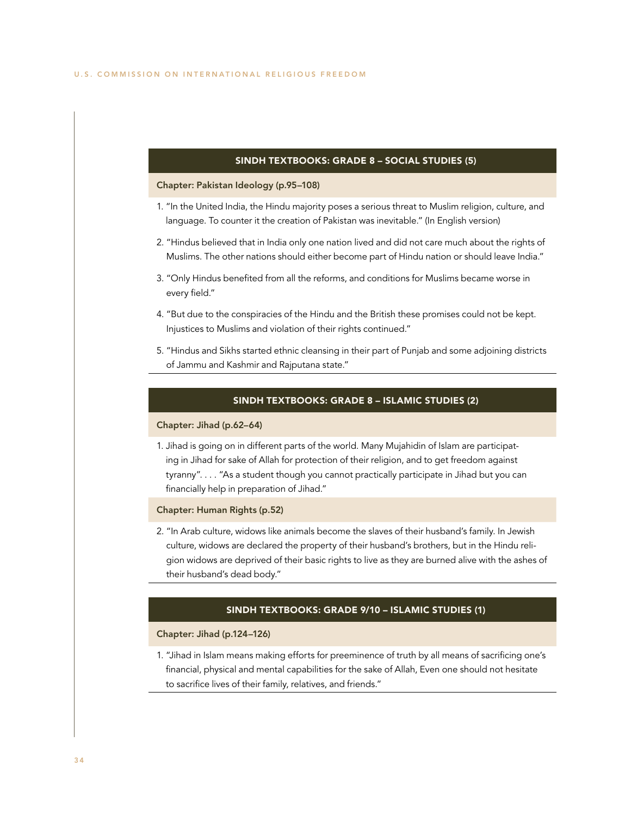### SINDH TEXTBOOKS: GRADE 8 – SOCIAL STUDIES (5)

### Chapter: Pakistan Ideology (p.95–108)

- 1. "In the United India, the Hindu majority poses a serious threat to Muslim religion, culture, and language. To counter it the creation of Pakistan was inevitable." (In English version)
- 2. "Hindus believed that in India only one nation lived and did not care much about the rights of Muslims. The other nations should either become part of Hindu nation or should leave India."
- 3. "Only Hindus benefited from all the reforms, and conditions for Muslims became worse in every field."
- 4. "But due to the conspiracies of the Hindu and the British these promises could not be kept. Injustices to Muslims and violation of their rights continued."
- 5. "Hindus and Sikhs started ethnic cleansing in their part of Punjab and some adjoining districts of Jammu and Kashmir and Rajputana state."

### SINDH TEXTBOOKS: GRADE 8 – ISLAMIC STUDIES (2)

### Chapter: Jihad (p.62–64)

1. Jihad is going on in different parts of the world. Many Mujahidin of Islam are participating in Jihad for sake of Allah for protection of their religion, and to get freedom against tyranny". . . . "As a student though you cannot practically participate in Jihad but you can financially help in preparation of Jihad."

### Chapter: Human Rights (p.52)

2. "In Arab culture, widows like animals become the slaves of their husband's family. In Jewish culture, widows are declared the property of their husband's brothers, but in the Hindu religion widows are deprived of their basic rights to live as they are burned alive with the ashes of their husband's dead body."

### SINDH TEXTBOOKS: GRADE 9/10 – ISLAMIC STUDIES (1)

### Chapter: Jihad (p.124–126)

1. "Jihad in Islam means making efforts for preeminence of truth by all means of sacrificing one's financial, physical and mental capabilities for the sake of Allah, Even one should not hesitate to sacrifice lives of their family, relatives, and friends."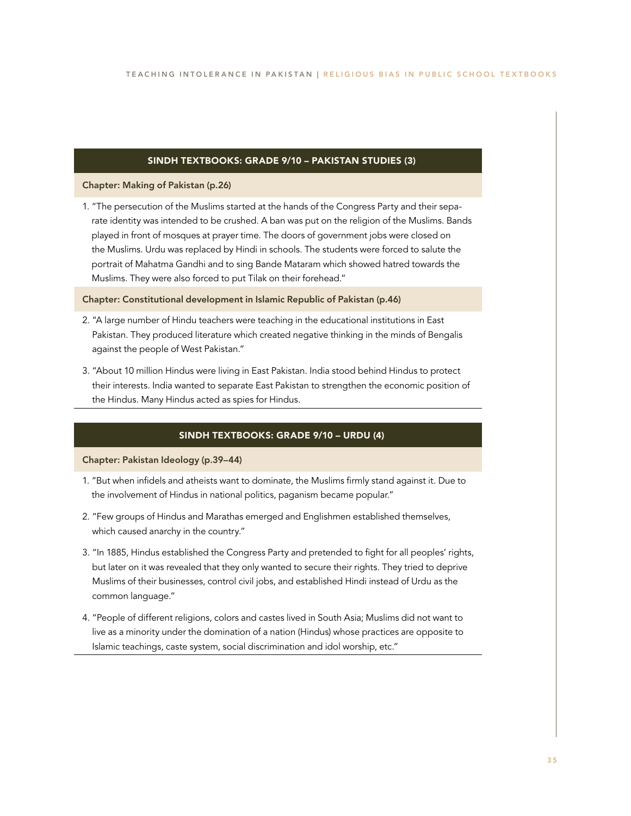### SINDH TEXTBOOKS: GRADE 9/10 – PAKISTAN STUDIES (3)

### Chapter: Making of Pakistan (p.26)

1. "The persecution of the Muslims started at the hands of the Congress Party and their separate identity was intended to be crushed. A ban was put on the religion of the Muslims. Bands played in front of mosques at prayer time. The doors of government jobs were closed on the Muslims. Urdu was replaced by Hindi in schools. The students were forced to salute the portrait of Mahatma Gandhi and to sing Bande Mataram which showed hatred towards the Muslims. They were also forced to put Tilak on their forehead."

### Chapter: Constitutional development in Islamic Republic of Pakistan (p.46)

- 2. "A large number of Hindu teachers were teaching in the educational institutions in East Pakistan. They produced literature which created negative thinking in the minds of Bengalis against the people of West Pakistan."
- 3. "About 10 million Hindus were living in East Pakistan. India stood behind Hindus to protect their interests. India wanted to separate East Pakistan to strengthen the economic position of the Hindus. Many Hindus acted as spies for Hindus.

### SINDH TEXTBOOKS: GRADE 9/10 – URDU (4)

Chapter: Pakistan Ideology (p.39–44)

- 1. "But when infidels and atheists want to dominate, the Muslims firmly stand against it. Due to the involvement of Hindus in national politics, paganism became popular."
- 2. "Few groups of Hindus and Marathas emerged and Englishmen established themselves, which caused anarchy in the country."
- 3. "In 1885, Hindus established the Congress Party and pretended to fight for all peoples' rights, but later on it was revealed that they only wanted to secure their rights. They tried to deprive Muslims of their businesses, control civil jobs, and established Hindi instead of Urdu as the common language."
- 4. "People of different religions, colors and castes lived in South Asia; Muslims did not want to live as a minority under the domination of a nation (Hindus) whose practices are opposite to Islamic teachings, caste system, social discrimination and idol worship, etc."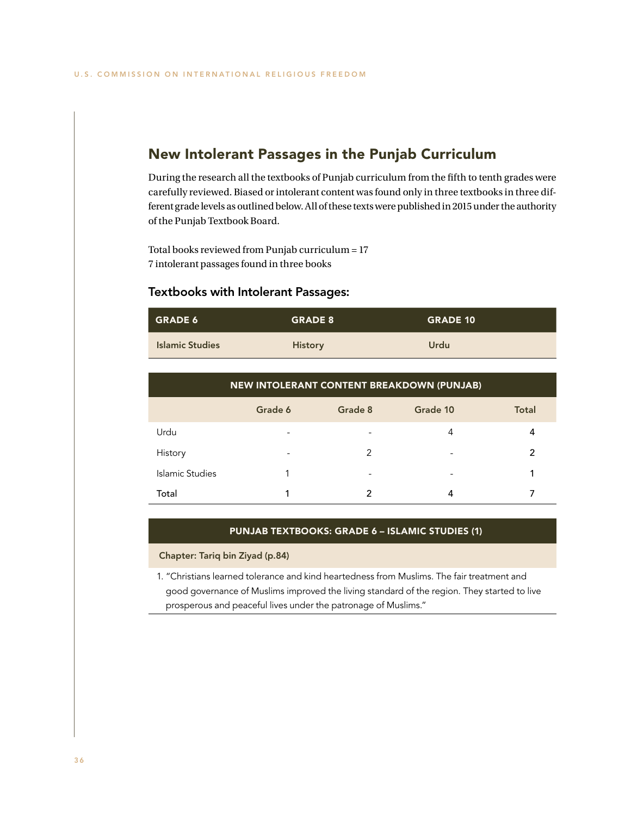## New Intolerant Passages in the Punjab Curriculum

During the research all the textbooks of Punjab curriculum from the fifth to tenth grades were carefully reviewed. Biased or intolerant content was found only in three textbooks in three different grade levels as outlined below. All of these texts were published in 2015 under the authority of the Punjab Textbook Board.

Total books reviewed from Punjab curriculum = 17 7 intolerant passages found in three books

### Textbooks with Intolerant Passages:

| <b>GRADE 6</b>         | <b>GRADE 8</b> | <b>GRADE 10</b> |
|------------------------|----------------|-----------------|
| <b>Islamic Studies</b> | <b>History</b> | Urdu            |

| <b>NEW INTOLERANT CONTENT BREAKDOWN (PUNJAB)</b> |         |         |          |              |
|--------------------------------------------------|---------|---------|----------|--------------|
|                                                  | Grade 6 | Grade 8 | Grade 10 | <b>Total</b> |
| Urdu                                             |         |         | 4        | 4            |
| History                                          | -       | 2       | ۰        | 2            |
| Islamic Studies                                  |         | -       | ۰        |              |
| Total                                            |         |         |          |              |

### PUNJAB TEXTBOOKS: GRADE 6 – ISLAMIC STUDIES (1)

Chapter: Tariq bin Ziyad (p.84)

1. "Christians learned tolerance and kind heartedness from Muslims. The fair treatment and good governance of Muslims improved the living standard of the region. They started to live prosperous and peaceful lives under the patronage of Muslims."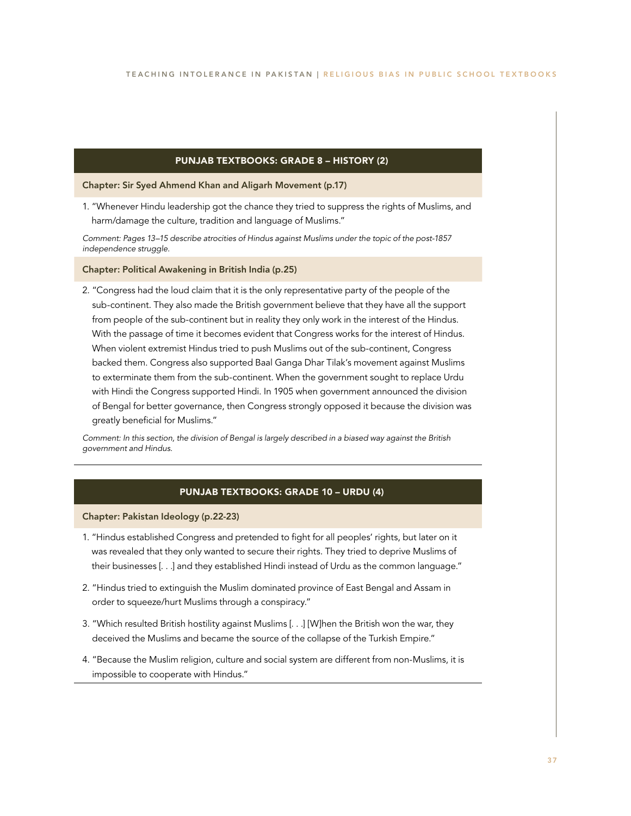### PUNJAB TEXTBOOKS: GRADE 8 – HISTORY (2)

Chapter: Sir Syed Ahmend Khan and Aligarh Movement (p.17)

1. "Whenever Hindu leadership got the chance they tried to suppress the rights of Muslims, and harm/damage the culture, tradition and language of Muslims."

*Comment: Pages 13–15 describe atrocities of Hindus against Muslims under the topic of the post-1857 independence struggle.*

Chapter: Political Awakening in British India (p.25)

2. "Congress had the loud claim that it is the only representative party of the people of the sub-continent. They also made the British government believe that they have all the support from people of the sub-continent but in reality they only work in the interest of the Hindus. With the passage of time it becomes evident that Congress works for the interest of Hindus. When violent extremist Hindus tried to push Muslims out of the sub-continent, Congress backed them. Congress also supported Baal Ganga Dhar Tilak's movement against Muslims to exterminate them from the sub-continent. When the government sought to replace Urdu with Hindi the Congress supported Hindi. In 1905 when government announced the division of Bengal for better governance, then Congress strongly opposed it because the division was greatly beneficial for Muslims."

*Comment: In this section, the division of Bengal is largely described in a biased way against the British government and Hindus.*

### PUNJAB TEXTBOOKS: GRADE 10 – URDU (4)

Chapter: Pakistan Ideology (p.22-23)

- 1. "Hindus established Congress and pretended to fight for all peoples' rights, but later on it was revealed that they only wanted to secure their rights. They tried to deprive Muslims of their businesses [. . .] and they established Hindi instead of Urdu as the common language."
- 2. "Hindus tried to extinguish the Muslim dominated province of East Bengal and Assam in order to squeeze/hurt Muslims through a conspiracy."
- 3. "Which resulted British hostility against Muslims [. . .] [W]hen the British won the war, they deceived the Muslims and became the source of the collapse of the Turkish Empire."
- 4. "Because the Muslim religion, culture and social system are different from non-Muslims, it is impossible to cooperate with Hindus."